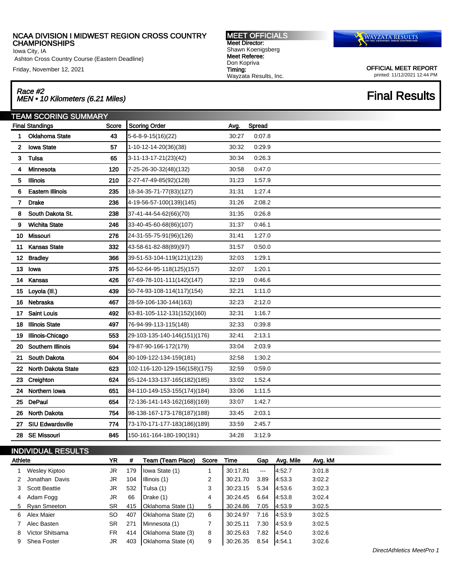Iowa City, IA

Ashton Cross Country Course (Eastern Deadline)

Friday, November 12, 2021

## Race #2 Race #2<br>MEN • 10 Kilometers (6.21 Miles) Final Results

TEAM SCORING SUMMARY Final Standings **Score Score Scoring Order Avg.** Spread Oklahoma State 43 5-6-8-9-15(16)(22) 30:27 0:07.8 Iowa State 57 1-10-12-14-20(36)(38) 30:32 0:29.9 **3 Tulsa** 65 3-11-13-17-21(23)(42) 30:34 0:26.3 Minnesota 120 7-25-26-30-32(48)(132) 30:58 0:47.0 Illinois 210 2-27-47-49-85(92)(128) 31:23 1:57.9 Eastern Illinois 235 18-34-35-71-77(83)(127) 31:31 1:27.4 Drake 236 4-19-56-57-100(139)(145) 31:26 2:08.2 South Dakota St. 238 37-41-44-54-62(66)(70) 31:35 0:26.8 Wichita State 246 33-40-45-60-68(86)(107) 31:37 0:46.1 Missouri 276 24-31-55-75-91(96)(126) 31:41 1:27.0 Kansas State 332 43-58-61-82-88(89)(97) 31:57 0:50.0 12 Bradley 366 39-51-53-104-119(121)(123) 32:03 1:29.1 Iowa 375 46-52-64-95-118(125)(157) 32:07 1:20.1 Kansas 426 67-69-78-101-111(142)(147) 32:19 0:46.6 15 Loyola (III.) 439 50-74-93-108-114(117)(154) 32:21 1:11.0 Nebraska 467 28-59-106-130-144(163) 32:23 2:12.0 Saint Louis 492 63-81-105-112-131(152)(160) 32:31 1:16.7 Illinois State 497 76-94-99-113-115(148) 32:33 0:39.8 Illinois-Chicago 553 29-103-135-140-146(151)(176) 32:41 2:13.1 Southern Illinois 594 79-87-90-166-172(179) 33:04 2:03.9 South Dakota 604 80-109-122-134-159(181) 32:58 1:30.2 North Dakota State 623 102-116-120-129-156(158)(175) 32:59 0:59.0 Creighton 624 65-124-133-137-165(182)(185) 33:02 1:52.4 24 Northern Iowa 651 84-110-149-153-155(174)(184) 33:06 1:11.5 DePaul 654 72-136-141-143-162(168)(169) 33:07 1:42.7 North Dakota 754 98-138-167-173-178(187)(188) 33:45 2:03.1 SIU Edwardsville 774 73-170-171-177-183(186)(189) 33:59 2:45.7 SE Missouri 845 150-161-164-180-190(191) 34:28 3:12.9

# INDIVIDUAL RESULTS

|   | Athlete         |           | #   | Team (Team Place)         | Score | Time     | Gap                  | Avg. Mile | Avg. kM |
|---|-----------------|-----------|-----|---------------------------|-------|----------|----------------------|-----------|---------|
|   | Wesley Kiptoo   | JR        | 179 | Iowa State (1)            |       | 30:17.81 | $\sim$ $\sim$ $\sim$ | 4:52.7    | 3:01.8  |
|   | Jonathan Davis  | JR        | 104 | Illinois (1)              | 2     | 30:21.70 | 3.89                 | 4:53.3    | 3:02.2  |
|   | 3 Scott Beattie | JR        | 532 | Tulsa (1)                 | 3     | 30:23.15 | 5.34                 | 4:53.6    | 3:02.3  |
| 4 | Adam Fogg       | JR        | 66  | D <sub>rate</sub> (1)     | 4     | 30:24.45 | 6.64                 | 4.53.8    | 3:02.4  |
|   | 5 Ryan Smeeton  | SR.       |     | 415   Oklahoma State (1)  | 5     | 30:24.86 | 7.05                 | 4:53.9    | 3:02.5  |
| 6 | Alex Maier      | SO.       | 407 | Oklahoma State (2)        | 6     | 30:24.97 | 7.16                 | 4:53.9    | 3:02.5  |
|   | Alec Basten     | <b>SR</b> | 271 | Minnesota (1)             |       | 30:25.11 | 7.30                 | 4:53.9    | 3:02.5  |
| 8 | Victor Shitsama | FR.       | 414 | Oklahoma State (3)        | 8     | 30:25.63 | 7.82                 | 4:54.0    | 3:02.6  |
| 9 | Shea Foster     | JR        | 403 | <b>Oklahoma State (4)</b> | 9     | 30:26.35 | 8.54                 | 4.54.1    | 3:02.6  |

DirectAthletics MeetPro 1

**WAYZATA RESULTS** 

OFFICIAL MEET REPORT printed: 11/12/2021 12:44 PM

MEET OFFICIALS Meet Director: Shawn Koenigsberg Meet Referee: Don Kopriva Timing: Wayzata Results, Inc.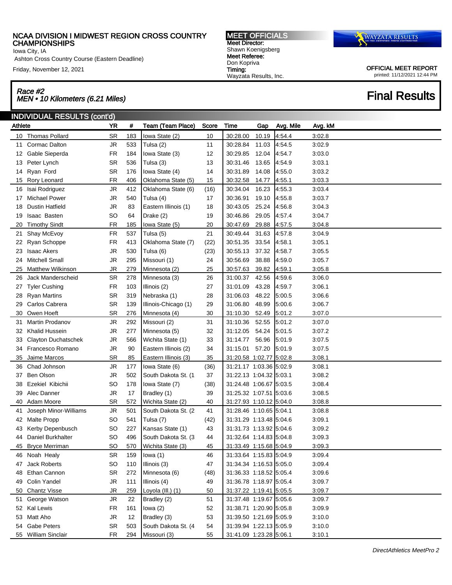Iowa City, IA

Ashton Cross Country Course (Eastern Deadline)

Friday, November 12, 2021

## Race #2 Race #2<br>MEN • 10 Kilometers (6.21 Miles) Final Results

MEET OFFICIALS Meet Director: Shawn Koenigsberg Meet Referee: Don Kopriva Timing: Wayzata Results, Inc.



|         | <b>INDIVIDUAL RESULTS (cont'd)</b> |           |     |                      |       |                         |       |           |         |  |  |  |
|---------|------------------------------------|-----------|-----|----------------------|-------|-------------------------|-------|-----------|---------|--|--|--|
| Athlete |                                    | <b>YR</b> | #   | Team (Team Place)    | Score | Time                    | Gap   | Avg. Mile | Avg. kM |  |  |  |
|         | 10 Thomas Pollard                  | <b>SR</b> | 183 | Iowa State (2)       | 10    | 30:28.00                | 10.19 | 4:54.4    | 3:02.8  |  |  |  |
| 11      | Cormac Dalton                      | JR        | 533 | Tulsa (2)            | 11    | 30:28.84                | 11.03 | 4:54.5    | 3:02.9  |  |  |  |
|         | 12 Gable Sieperda                  | <b>FR</b> | 184 | Iowa State (3)       | 12    | 30:29.85                | 12.04 | 4:54.7    | 3:03.0  |  |  |  |
| 13      | Peter Lynch                        | <b>SR</b> | 536 | Tulsa (3)            | 13    | 30:31.46                | 13.65 | 4:54.9    | 3:03.1  |  |  |  |
| 14      | Ryan Ford                          | SR        | 176 | Iowa State (4)       | 14    | 30:31.89                | 14.08 | 4:55.0    | 3:03.2  |  |  |  |
| 15      | Rory Leonard                       | <b>FR</b> | 406 | Oklahoma State (5)   | 15    | 30:32.58                | 14.77 | 4:55.1    | 3:03.3  |  |  |  |
| 16      | Isai Rodriguez                     | JR        | 412 | Oklahoma State (6)   | (16)  | 30:34.04                | 16.23 | 4:55.3    | 3:03.4  |  |  |  |
| 17      | <b>Michael Power</b>               | JR        | 540 | Tulsa (4)            | 17    | 30:36.91                | 19.10 | 4:55.8    | 3:03.7  |  |  |  |
| 18      | <b>Dustin Hatfield</b>             | JR        | 83  | Eastern Illinois (1) | 18    | 30:43.05                | 25.24 | 4:56.8    | 3:04.3  |  |  |  |
| 19      | <b>Isaac Basten</b>                | SO        | 64  | Drake (2)            | 19    | 30:46.86                | 29.05 | 4:57.4    | 3:04.7  |  |  |  |
| 20      | <b>Timothy Sindt</b>               | <b>FR</b> | 185 | Iowa State (5)       | 20    | 30:47.69                | 29.88 | 4:57.5    | 3:04.8  |  |  |  |
| 21      | Shay McEvoy                        | <b>FR</b> | 537 | Tulsa (5)            | 21    | 30:49.44                | 31.63 | 4:57.8    | 3:04.9  |  |  |  |
| 22      | Ryan Schoppe                       | <b>FR</b> | 413 | Oklahoma State (7)   | (22)  | 30:51.35                | 33.54 | 4:58.1    | 3:05.1  |  |  |  |
| 23      | <b>Isaac Akers</b>                 | JR        | 530 | Tulsa (6)            | (23)  | 30:55.13                | 37.32 | 4:58.7    | 3:05.5  |  |  |  |
| 24      | Mitchell Small                     | JR        | 295 | Missouri (1)         | 24    | 30:56.69                | 38.88 | 4:59.0    | 3:05.7  |  |  |  |
| 25      | Matthew Wilkinson                  | <b>JR</b> | 279 | Minnesota (2)        | 25    | 30:57.63                | 39.82 | 4:59.1    | 3:05.8  |  |  |  |
| 26      | Jack Manderscheid                  | SR        | 278 | Minnesota (3)        | 26    | 31:00.37                | 42.56 | 4:59.6    | 3:06.0  |  |  |  |
| 27      | <b>Tyler Cushing</b>               | <b>FR</b> | 103 | Illinois (2)         | 27    | 31:01.09                | 43.28 | 4:59.7    | 3:06.1  |  |  |  |
| 28      | <b>Ryan Martins</b>                | <b>SR</b> | 319 | Nebraska (1)         | 28    | 31:06.03                | 48.22 | 5:00.5    | 3:06.6  |  |  |  |
| 29      | Carlos Cabrera                     | <b>SR</b> | 139 | Illinois-Chicago (1) | 29    | 31:06.80                | 48.99 | 5:00.6    | 3:06.7  |  |  |  |
| 30      | Owen Hoeft                         | <b>SR</b> | 276 | Minnesota (4)        | 30    | 31:10.30                | 52.49 | 5:01.2    | 3:07.0  |  |  |  |
| 31      | Martin Prodanov                    | JR        | 292 | Missouri (2)         | 31    | 31:10.36                | 52.55 | 5:01.2    | 3:07.0  |  |  |  |
| 32      | <b>Khalid Hussein</b>              | JR        | 277 | Minnesota (5)        | 32    | 31:12.05                | 54.24 | 5:01.5    | 3:07.2  |  |  |  |
| 33      | Clayton Duchatschek                | JR        | 566 | Wichita State (1)    | 33    | 31:14.77                | 56.96 | 5:01.9    | 3:07.5  |  |  |  |
| 34      | Francesco Romano                   | JR        | 90  | Eastern Illinois (2) | 34    | 31:15.01                | 57.20 | 5:01.9    | 3:07.5  |  |  |  |
| 35      | Jaime Marcos                       | <b>SR</b> | 85  | Eastern Illinois (3) | 35    | 31:20.58 1:02.77 5:02.8 |       |           | 3:08.1  |  |  |  |
| 36      | Chad Johnson                       | JR        | 177 | Iowa State (6)       | (36)  | 31:21.17 1:03.36 5:02.9 |       |           | 3:08.1  |  |  |  |
| 37      | <b>Ben Olson</b>                   | JR        | 502 | South Dakota St. (1  | 37    | 31:22.13 1:04.32 5:03.1 |       |           | 3:08.2  |  |  |  |
| 38      | Ezekiel Kibichii                   | <b>SO</b> | 178 | Iowa State (7)       | (38)  | 31:24.48 1:06.67 5:03.5 |       |           | 3:08.4  |  |  |  |
| 39      | Alec Danner                        | JR        | 17  | Bradley (1)          | 39    | 31:25.32 1:07.51 5:03.6 |       |           | 3:08.5  |  |  |  |
| 40      | Adam Moore                         | <b>SR</b> | 572 | Wichita State (2)    | 40    | 31:27.93 1:10.12 5:04.0 |       |           | 3:08.8  |  |  |  |
| 41      | Joseph Minor-Williams              | JR        | 501 | South Dakota St. (2  | 41    | 31:28.46 1:10.65 5:04.1 |       |           | 3:08.8  |  |  |  |
| 42      | <b>Malte Propp</b>                 | <b>SO</b> | 541 | Tulsa (7)            | (42)  | 31:31.29 1:13.48 5:04.6 |       |           | 3:09.1  |  |  |  |
| 43      | Kerby Depenbusch                   | <b>SO</b> | 227 | Kansas State (1)     | 43    | 31:31.73 1:13.92 5:04.6 |       |           | 3:09.2  |  |  |  |
|         | 44 Daniel Burkhalter               | <b>SO</b> | 496 | South Dakota St. (3) | 44    | 31:32.64 1:14.83 5:04.8 |       |           | 3:09.3  |  |  |  |
|         | 45 Bryce Merriman                  | SO        | 570 | Wichita State (3)    | 45    | 31:33.49 1:15.68 5:04.9 |       |           | 3:09.3  |  |  |  |
|         | 46 Noah Healy                      | SR        | 159 | lowa $(1)$           | 46    | 31:33.64 1:15.83 5:04.9 |       |           | 3:09.4  |  |  |  |
| 47      | Jack Roberts                       | SO        | 110 | Illinois (3)         | 47    | 31:34.34 1:16.53 5:05.0 |       |           | 3:09.4  |  |  |  |
| 48      | Ethan Cannon                       | SR        | 272 | Minnesota (6)        | (48)  | 31:36.33 1:18.52 5:05.4 |       |           | 3:09.6  |  |  |  |
| 49      | Colin Yandel                       | JR        | 111 | Illinois (4)         | 49    | 31:36.78 1:18.97 5:05.4 |       |           | 3:09.7  |  |  |  |
|         | 50 Chantz Visse                    | JR        | 259 | Loyola (III.) (1)    | 50    | 31:37.22 1:19.41 5:05.5 |       |           | 3:09.7  |  |  |  |
| 51      | George Watson                      | JR        | 22  | Bradley (2)          | 51    | 31:37.48 1:19.67 5:05.6 |       |           | 3:09.7  |  |  |  |
|         | 52 Kal Lewis                       | <b>FR</b> | 161 | lowa $(2)$           | 52    | 31:38.71 1:20.90 5:05.8 |       |           | 3:09.9  |  |  |  |
|         | 53 Matt Aho                        | JR        | 12  | Bradley (3)          | 53    | 31:39.50 1:21.69 5:05.9 |       |           | 3:10.0  |  |  |  |
| 54      | Gabe Peters                        | SR        | 503 | South Dakota St. (4  | 54    | 31:39.94 1:22.13 5:05.9 |       |           | 3:10.0  |  |  |  |
|         | 55 William Sinclair                | FR        | 294 | Missouri (3)         | 55    | 31:41.09 1:23.28 5:06.1 |       |           | 3:10.1  |  |  |  |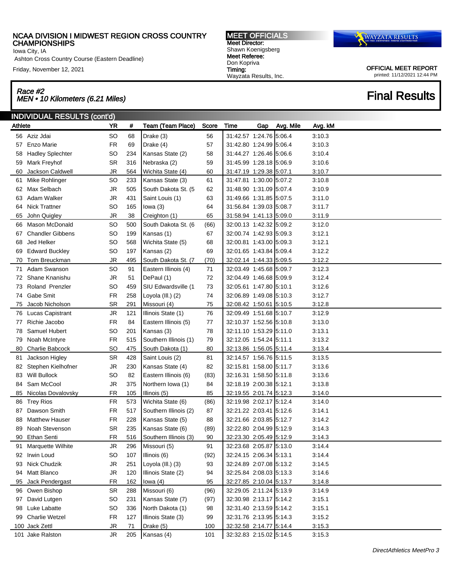Iowa City, IA

Ashton Cross Country Course (Eastern Deadline)

Friday, November 12, 2021

# Race #2<br>MEN • 10 Kilometers (6.21 Miles) Final Results

MEET OFFICIALS Meet Director: Shawn Koenigsberg Meet Referee: Don Kopriva Timing: Wayzata Results, Inc.



|         | INDIVIDUAL RESULTS (cont'd) |           |     |                          |       |                         |     |           |         |
|---------|-----------------------------|-----------|-----|--------------------------|-------|-------------------------|-----|-----------|---------|
| Athlete |                             | YR        | #   | <b>Team (Team Place)</b> | Score | Time                    | Gap | Avg. Mile | Avg. kM |
|         | 56 Aziz Jdai                | <b>SO</b> | 68  | Drake (3)                | 56    | 31:42.57 1:24.76 5:06.4 |     |           | 3:10.3  |
| 57      | Enzo Marie                  | <b>FR</b> | 69  | Drake (4)                | 57    | 31:42.80 1:24.99 5:06.4 |     |           | 3:10.3  |
| 58      | <b>Hadley Splechter</b>     | <b>SO</b> | 234 | Kansas State (2)         | 58    | 31:44.27 1:26.46 5:06.6 |     |           | 3:10.4  |
| 59      | Mark Freyhof                | <b>SR</b> | 316 | Nebraska (2)             | 59    | 31:45.99 1:28.18 5:06.9 |     |           | 3:10.6  |
| 60      | Jackson Caldwell            | JR        | 564 | Wichita State (4)        | 60    | 31:47.19 1:29.38 5:07.1 |     |           | 3:10.7  |
| 61      | Mike Rohlinger              | <b>SO</b> | 233 | Kansas State (3)         | 61    | 31:47.81 1:30.00 5:07.2 |     |           | 3:10.8  |
| 62      | Max Selbach                 | JR        | 505 | South Dakota St. (5      | 62    | 31:48.90 1:31.09 5:07.4 |     |           | 3:10.9  |
| 63      | Adam Walker                 | JR        | 431 | Saint Louis (1)          | 63    | 31:49.66 1:31.85 5:07.5 |     |           | 3:11.0  |
| 64      | <b>Nick Trattner</b>        | <b>SO</b> | 165 | lowa $(3)$               | 64    | 31:56.84 1:39.03 5:08.7 |     |           | 3:11.7  |
| 65      | John Quigley                | JR        | 38  | Creighton (1)            | 65    | 31:58.94 1:41.13 5:09.0 |     |           | 3:11.9  |
| 66.     | <b>Mason McDonald</b>       | <b>SO</b> | 500 | South Dakota St. (6      | (66)  | 32:00.13 1:42.32 5:09.2 |     |           | 3:12.0  |
| 67      | <b>Chandler Gibbens</b>     | <b>SO</b> | 199 | Kansas (1)               | 67    | 32:00.74 1:42.93 5:09.3 |     |           | 3:12.1  |
| 68      | Jed Helker                  | <b>SO</b> | 568 | Wichita State (5)        | 68    | 32:00.81 1:43.00 5:09.3 |     |           | 3:12.1  |
| 69      | <b>Edward Buckley</b>       | <b>SO</b> | 197 | Kansas (2)               | 69    | 32:01.65 1:43.84 5:09.4 |     |           | 3:12.2  |
| 70      | Tom Breuckman               | JR        | 495 | South Dakota St. (7      | (70)  | 32:02.14 1:44.33 5:09.5 |     |           | 3:12.2  |
| 71      | Adam Swanson                | <b>SO</b> | 91  | Eastern Illinois (4)     | 71    | 32:03.49 1:45.68 5:09.7 |     |           | 3:12.3  |
| 72      | Shane Knanishu              | JR        | 51  | DePaul (1)               | 72    | 32:04.49 1:46.68 5:09.9 |     |           | 3:12.4  |
| 73      | Roland Prenzler             | <b>SO</b> | 459 | SIU Edwardsville (1      | 73    | 32:05.61 1:47.80 5:10.1 |     |           | 3:12.6  |
| 74      | Gabe Smit                   | <b>FR</b> | 258 | Loyola (III.) (2)        | 74    | 32:06.89 1:49.08 5:10.3 |     |           | 3:12.7  |
| 75      | Jacob Nicholson             | <b>SR</b> | 291 | Missouri (4)             | 75    | 32:08.42 1:50.61 5:10.5 |     |           | 3:12.8  |
|         | 76 Lucas Capistrant         | JR        | 121 | Illinois State (1)       | 76    | 32:09.49 1:51.68 5:10.7 |     |           | 3:12.9  |
| 77      | Richie Jacobo               | <b>FR</b> | 84  | Eastern Illinois (5)     | 77    | 32:10.37 1:52.56 5:10.8 |     |           | 3:13.0  |
| 78      | Samuel Hubert               | SO        | 201 | Kansas (3)               | 78    | 32:11.10 1:53.29 5:11.0 |     |           | 3:13.1  |
| 79      | Noah McIntyre               | <b>FR</b> | 515 | Southern Illinois (1)    | 79    | 32:12.05 1:54.24 5:11.1 |     |           | 3:13.2  |
| 80      | Charlie Babcock             | <b>SO</b> | 475 | South Dakota (1)         | 80    | 32:13.86 1:56.05 5:11.4 |     |           | 3:13.4  |
| 81      | Jackson Higley              | <b>SR</b> | 428 | Saint Louis (2)          | 81    | 32:14.57 1:56.76 5:11.5 |     |           | 3:13.5  |
| 82      | Stephen Kielhofner          | JR        | 230 | Kansas State (4)         | 82    | 32:15.81 1:58.00 5:11.7 |     |           | 3:13.6  |
| 83      | Will Bullock                | <b>SO</b> | 82  | Eastern Illinois (6)     | (83)  | 32:16.31 1:58.50 5:11.8 |     |           | 3:13.6  |
| 84      | Sam McCool                  | <b>JR</b> | 375 | Northern Iowa (1)        | 84    | 32:18.19 2:00.38 5:12.1 |     |           | 3:13.8  |
| 85      | Nicolas Dovalovsky          | <b>FR</b> | 105 | Illinois (5)             | 85    | 32:19.55 2:01.74 5:12.3 |     |           | 3:14.0  |
|         | 86 Trey Rios                | <b>FR</b> | 573 | Wichita State (6)        | (86)  | 32:19.98 2:02.17 5:12.4 |     |           | 3:14.0  |
| 87      | Dawson Smith                | <b>FR</b> | 517 | Southern Illinois (2)    | 87    | 32:21.22 2:03.41 5:12.6 |     |           | 3:14.1  |
| 88      | <b>Matthew Hauser</b>       | <b>FR</b> | 228 | Kansas State (5)         | 88    | 32:21.66 2:03.85 5:12.7 |     |           | 3:14.2  |
| 89      | Noah Stevenson              | <b>SR</b> | 235 | Kansas State (6)         | (89)  | 32:22.80 2:04.99 5:12.9 |     |           | 3.14.3  |
|         | 90 Ethan Senti              | FR        | 516 | Southern Illinois (3)    | 90    | 32:23.30 2:05.49 5:12.9 |     |           | 3:14.3  |
| 91      | Marquette Wilhite           | JR        | 296 | Missouri (5)             | 91    | 32:23.68 2:05.87 5:13.0 |     |           | 3:14.4  |
|         | 92 Irwin Loud               | <b>SO</b> | 107 | Illinois (6)             | (92)  | 32:24.15 2:06.34 5:13.1 |     |           | 3:14.4  |
|         | 93 Nick Chudzik             | JR.       | 251 | Loyola (III.) (3)        | 93    | 32:24.89 2:07.08 5:13.2 |     |           | 3:14.5  |
| 94      | Matt Blanco                 | JR.       | 120 | Illinois State (2)       | 94    | 32:25.84 2:08.03 5:13.3 |     |           | 3:14.6  |
|         | 95 Jack Pendergast          | <b>FR</b> | 162 | lowa $(4)$               | 95    | 32:27.85 2:10.04 5:13.7 |     |           | 3:14.8  |
|         | 96 Owen Bishop              | SR        | 288 | Missouri (6)             | (96)  | 32:29.05 2:11.24 5:13.9 |     |           | 3:14.9  |
| 97      | David Lutgen                | <b>SO</b> | 231 | Kansas State (7)         | (97)  | 32:30.98 2:13.17 5:14.2 |     |           | 3:15.1  |
|         | 98 Luke Labatte             | SO        | 336 | North Dakota (1)         | 98    | 32:31.40 2:13.59 5:14.2 |     |           | 3:15.1  |
|         | 99 Charlie Wetzel           | <b>FR</b> | 127 | Illinois State (3)       | 99    | 32:31.76 2:13.95 5:14.3 |     |           | 3:15.2  |
|         | 100 Jack Zettl              | JR        | 71  | Drake (5)                | 100   | 32:32.58 2:14.77 5:14.4 |     |           | 3:15.3  |
|         | 101 Jake Ralston            | JR        | 205 | Kansas (4)               | 101   | 32:32.83 2:15.02 5:14.5 |     |           | 3:15.3  |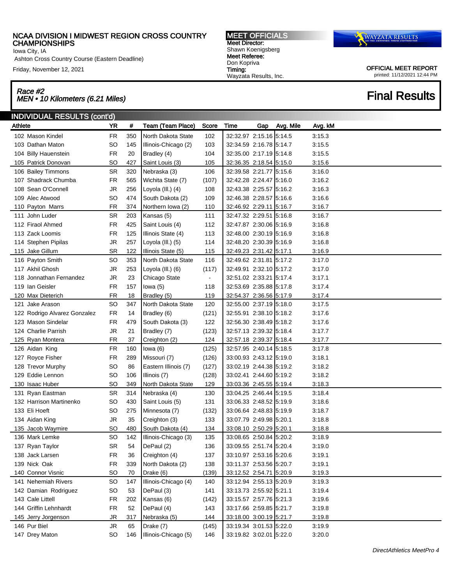Iowa City, IA

Ashton Cross Country Course (Eastern Deadline)

Friday, November 12, 2021

# Race #2<br>MEN • 10 Kilometers (6.21 Miles) Final Results

MEET OFFICIALS Meet Director: Shawn Koenigsberg Meet Referee: Don Kopriva Timing: Wayzata Results, Inc.



| <b>INDIVIDUAL RESULTS (cont'd)</b> |           |     |                      |       |                         |     |           |         |
|------------------------------------|-----------|-----|----------------------|-------|-------------------------|-----|-----------|---------|
| Athlete                            | YR        | #   | Team (Team Place)    | Score | Time                    | Gap | Avg. Mile | Avg. kM |
| 102 Mason Kindel                   | <b>FR</b> | 350 | North Dakota State   | 102   | 32:32.97 2:15.16 5:14.5 |     |           | 3:15.3  |
| 103 Dathan Maton                   | <b>SO</b> | 145 | Illinois-Chicago (2) | 103   | 32:34.59 2:16.78 5:14.7 |     |           | 3:15.5  |
| 104 Billy Hauenstein               | <b>FR</b> | 20  | Bradley (4)          | 104   | 32:35.00 2:17.19 5:14.8 |     |           | 3:15.5  |
| 105 Patrick Donovan                | <b>SO</b> | 427 | Saint Louis (3)      | 105   | 32:36.35 2:18.54 5:15.0 |     |           | 3:15.6  |
| 106 Bailey Timmons                 | <b>SR</b> | 320 | Nebraska (3)         | 106   | 32:39.58 2:21.77 5:15.6 |     |           | 3:16.0  |
| 107 Shadrack Chumba                | <b>FR</b> | 565 | Wichita State (7)    | (107) | 32:42.28 2:24.47 5:16.0 |     |           | 3:16.2  |
| 108 Sean O'Connell                 | JR        | 256 | Loyola (III.) (4)    | 108   | 32:43.38 2:25.57 5:16.2 |     |           | 3:16.3  |
| 109 Alec Atwood                    | <b>SO</b> | 474 | South Dakota (2)     | 109   | 32:46.38 2:28.57 5:16.6 |     |           | 3:16.6  |
| 110 Payton Marrs                   | <b>FR</b> | 374 | Northern Iowa (2)    | 110   | 32:46.92 2:29.11 5:16.7 |     |           | 3:16.7  |
| 111 John Luder                     | <b>SR</b> | 203 | Kansas (5)           | 111   | 32:47.32 2:29.51 5:16.8 |     |           | 3:16.7  |
| 112 Firaol Ahmed                   | <b>FR</b> | 425 | Saint Louis (4)      | 112   | 32:47.87 2:30.06 5:16.9 |     |           | 3:16.8  |
| 113 Zack Loomis                    | <b>FR</b> | 125 | Illinois State (4)   | 113   | 32:48.00 2:30.19 5:16.9 |     |           | 3:16.8  |
| 114 Stephen Pipilas                | JR        | 257 | Loyola (III.) (5)    | 114   | 32:48.20 2:30.39 5:16.9 |     |           | 3:16.8  |
| 115 Jake Gillum                    | <b>SR</b> | 122 | Illinois State (5)   | 115   | 32:49.23 2:31.42 5:17.1 |     |           | 3:16.9  |
| 116 Payton Smith                   | <b>SO</b> | 353 | North Dakota State   | 116   | 32:49.62 2:31.81 5:17.2 |     |           | 3:17.0  |
| 117 Akhil Ghosh                    | <b>JR</b> | 253 | Loyola (III.) (6)    | (117) | 32:49.91 2:32.10 5:17.2 |     |           | 3:17.0  |
| 118 Jonnathan Fernandez            | <b>JR</b> | 23  | Chicago State        |       | 32:51.02 2:33.21 5:17.4 |     |           | 3:17.1  |
| 119 Ian Geisler                    | <b>FR</b> | 157 | lowa $(5)$           | 118   | 32:53.69 2:35.88 5:17.8 |     |           | 3:17.4  |
| 120 Max Dieterich                  | <b>FR</b> | 18  | Bradley (5)          | 119   | 32:54.37 2:36.56 5:17.9 |     |           | 3:17.4  |
| 121 Jake Arason                    | SO        | 347 | North Dakota State   | 120   | 32:55.00 2:37.19 5:18.0 |     |           | 3:17.5  |
| 122 Rodrigo Alvarez Gonzalez       | <b>FR</b> | 14  | Bradley (6)          | (121) | 32:55.91 2:38.10 5:18.2 |     |           | 3:17.6  |
| 123 Mason Sindelar                 | <b>FR</b> | 479 | South Dakota (3)     | 122   | 32:56.30 2:38.49 5:18.2 |     |           | 3:17.6  |
| 124 Charlie Parrish                | <b>JR</b> | 21  | Bradley (7)          | (123) | 32:57.13 2:39.32 5:18.4 |     |           | 3:17.7  |
| 125 Ryan Montera                   | <b>FR</b> | 37  | Creighton (2)        | 124   | 32:57.18 2:39.37 5:18.4 |     |           | 3:17.7  |
| 126 Aidan King                     | <b>FR</b> | 160 | lowa $(6)$           | (125) | 32:57.95 2:40.14 5:18.5 |     |           | 3.17.8  |
| 127 Royce Fisher                   | <b>FR</b> | 289 | Missouri (7)         | (126) | 33:00.93 2:43.12 5:19.0 |     |           | 3:18.1  |
| 128 Trevor Murphy                  | <b>SO</b> | 86  | Eastern Illinois (7) | (127) | 33:02.19 2:44.38 5:19.2 |     |           | 3:18.2  |
| 129 Eddie Lennon                   | SO        | 106 | Illinois (7)         | (128) | 33:02.41 2:44.60 5:19.2 |     |           | 3:18.2  |
| 130 Isaac Huber                    | <b>SO</b> | 349 | North Dakota State   | 129   | 33:03.36 2:45.55 5:19.4 |     |           | 3:18.3  |
| 131 Ryan Eastman                   | <b>SR</b> | 314 | Nebraska (4)         | 130   | 33:04.25 2:46.44 5:19.5 |     |           | 3.18.4  |
| 132 Harrison Martinenko            | <b>SO</b> | 430 | Saint Louis (5)      | 131   | 33:06.33 2:48.52 5:19.9 |     |           | 3:18.6  |
| 133 Eli Hoeft                      | <b>SO</b> | 275 | Minnesota (7)        | (132) | 33:06.64 2:48.83 5:19.9 |     |           | 3:18.7  |
| 134 Aidan King                     | <b>JR</b> | 35  | Creighton (3)        | 133   | 33:07.79 2:49.98 5:20.1 |     |           | 3:18.8  |
| 135 Jacob Waymire                  | SO        | 480 | South Dakota (4)     | 134   | 33:08.10 2:50.29 5:20.1 |     |           | 3:18.8  |
| 136 Mark Lemke                     | SO        | 142 | Illinois-Chicago (3) | 135   | 33:08.65 2:50.84 5:20.2 |     |           | 3:18.9  |
| 137 Ryan Taylor                    | SR        | 54  | DePaul (2)           | 136   | 33:09.55 2:51.74 5:20.4 |     |           | 3:19.0  |
| 138 Jack Larsen                    | FR        | 36  | Creighton (4)        | 137   | 33:10.97 2:53.16 5:20.6 |     |           | 3:19.1  |
| 139 Nick Oak                       | FR        | 339 | North Dakota (2)     | 138   | 33:11.37 2:53.56 5:20.7 |     |           | 3:19.1  |
| 140 Connor Visnic                  | SO        | 70  | Drake (6)            | (139) | 33:12.52 2:54.71 5:20.9 |     |           | 3:19.3  |
| 141 Nehemiah Rivers                | <b>SO</b> | 147 | Illinois-Chicago (4) | 140   | 33:12.94 2:55.13 5:20.9 |     |           | 3:19.3  |
| 142 Damian Rodriguez               | SO        | 53  | DePaul (3)           | 141   | 33:13.73 2:55.92 5:21.1 |     |           | 3:19.4  |
| 143 Cale Littell                   | FR        | 202 | Kansas (6)           | (142) | 33:15.57 2:57.76 5:21.3 |     |           | 3:19.6  |
| 144 Griffin Lehnhardt              | FR        | 52  | DePaul (4)           | 143   | 33:17.66 2:59.85 5:21.7 |     |           | 3:19.8  |
| 145 Jerry Jorgenson                | <b>JR</b> | 317 | Nebraska (5)         | 144   | 33:18.00 3:00.19 5:21.7 |     |           | 3:19.8  |
| 146 Pur Biel                       | JR        | 65  | Drake (7)            | (145) | 33:19.34 3:01.53 5:22.0 |     |           | 3:19.9  |
| 147 Drey Maton                     | <b>SO</b> | 146 | Illinois-Chicago (5) | 146   | 33:19.82 3:02.01 5:22.0 |     |           | 3:20.0  |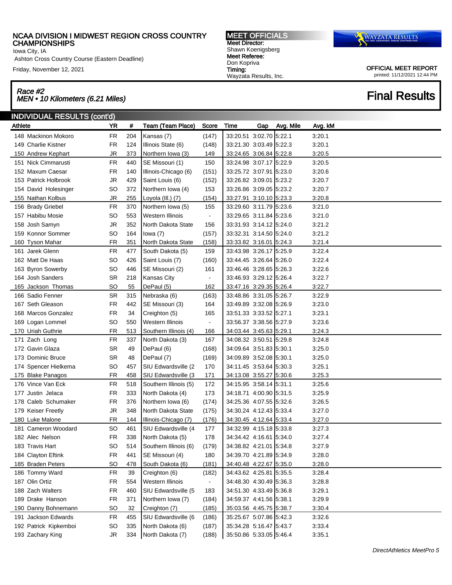Iowa City, IA

Ashton Cross Country Course (Eastern Deadline)

Friday, November 12, 2021

## Race #2 Race #2<br>MEN • 10 Kilometers (6.21 Miles) Final Results

MEET OFFICIALS Meet Director: Shawn Koenigsberg Meet Referee: Don Kopriva Timing: Wayzata Results, Inc.



| <b>INDIVIDUAL RESULTS (cont'd)</b> |           |     |                       |                |                         |     |           |         |  |  |
|------------------------------------|-----------|-----|-----------------------|----------------|-------------------------|-----|-----------|---------|--|--|
| Athlete                            | <b>YR</b> | #   | Team (Team Place)     | Score          | Time                    | Gap | Avg. Mile | Avg. kM |  |  |
| 148 Mackinon Mokoro                | <b>FR</b> | 204 | Kansas (7)            | (147)          | 33:20.51 3:02.70 5:22.1 |     |           | 3:20.1  |  |  |
| 149 Charlie Kistner                | <b>FR</b> | 124 | Illinois State (6)    | (148)          | 33:21.30 3:03.49 5:22.3 |     |           | 3:20.1  |  |  |
| 150 Andrew Kephart                 | <b>JR</b> | 373 | Northern Iowa (3)     | 149            | 33:24.65 3:06.84 5:22.8 |     |           | 3:20.5  |  |  |
| 151 Nick Cimmarusti                | <b>FR</b> | 440 | SE Missouri (1)       | 150            | 33:24.98 3:07.17 5:22.9 |     |           | 3:20.5  |  |  |
| 152 Maxum Caesar                   | <b>FR</b> | 140 | Illinois-Chicago (6)  | (151)          | 33:25.72 3:07.91 5:23.0 |     |           | 3:20.6  |  |  |
| 153 Patrick Holbrook               | <b>JR</b> | 429 | Saint Louis (6)       | (152)          | 33:26.82 3:09.01 5:23.2 |     |           | 3:20.7  |  |  |
| 154 David Holesinger               | <b>SO</b> | 372 | Northern Iowa (4)     | 153            | 33:26.86 3:09.05 5:23.2 |     |           | 3:20.7  |  |  |
| 155 Nathan Kolbus                  | <b>JR</b> | 255 | Loyola (III.) (7)     | (154)          | 33:27.91 3:10.10 5:23.3 |     |           | 3:20.8  |  |  |
| 156 Brady Griebel                  | <b>FR</b> | 370 | Northern Iowa (5)     | 155            | 33:29.60 3:11.79 5:23.6 |     |           | 3:21.0  |  |  |
| 157 Habibu Mosie                   | SO        | 553 | Western Illinois      | $\blacksquare$ | 33:29.65 3:11.84 5:23.6 |     |           | 3:21.0  |  |  |
| Josh Samyn<br>158                  | JR        | 352 | North Dakota State    | 156            | 33:31.93 3:14.12 5:24.0 |     |           | 3:21.2  |  |  |
| 159 Konnor Sommer                  | <b>SO</b> | 164 | lowa $(7)$            | (157)          | 33:32.31 3:14.50 5:24.0 |     |           | 3:21.2  |  |  |
| 160 Tyson Mahar                    | <b>FR</b> | 351 | North Dakota State    | (158)          | 33:33.82 3:16.01 5:24.3 |     |           | 3:21.4  |  |  |
| 161 Jarek Glenn                    | <b>FR</b> | 477 | South Dakota (5)      | 159            | 33:43.98 3:26.17 5:25.9 |     |           | 3:22.4  |  |  |
| 162 Matt De Haas                   | SO        | 426 | Saint Louis (7)       | (160)          | 33:44.45 3:26.64 5:26.0 |     |           | 3:22.4  |  |  |
| 163 Byron Sowerby                  | SO        | 446 | SE Missouri (2)       | 161            | 33:46.46 3:28.65 5:26.3 |     |           | 3:22.6  |  |  |
| 164 Josh Sanders                   | <b>SR</b> | 218 | Kansas City           | $\blacksquare$ | 33:46.93 3:29.12 5:26.4 |     |           | 3:22.7  |  |  |
| 165 Jackson Thomas                 | SO        | 55  | DePaul (5)            | 162            | 33:47.16 3:29.35 5:26.4 |     |           | 3:22.7  |  |  |
| 166 Sadio Fenner                   | <b>SR</b> | 315 | Nebraska (6)          | (163)          | 33:48.86 3:31.05 5:26.7 |     |           | 3:22.9  |  |  |
| 167 Seth Gleason                   | <b>FR</b> | 442 | SE Missouri (3)       | 164            | 33:49.89 3:32.08 5:26.9 |     |           | 3:23.0  |  |  |
| 168 Marcos Gonzalez                | <b>FR</b> | 34  | Creighton (5)         | 165            | 33:51.33 3:33.52 5:27.1 |     |           | 3:23.1  |  |  |
| 169 Logan Lommel                   | <b>SO</b> | 550 | Western Illinois      | $\blacksquare$ | 33:56.37 3:38.56 5:27.9 |     |           | 3:23.6  |  |  |
| 170 Uriah Guthrie                  | <b>FR</b> | 513 | Southern Illinois (4) | 166            | 34:03.44 3:45.63 5:29.1 |     |           | 3:24.3  |  |  |
| 171 Zach Long                      | <b>FR</b> | 337 | North Dakota (3)      | 167            | 34:08.32 3:50.51 5:29.8 |     |           | 3:24.8  |  |  |
| 172 Gavin Glaza                    | <b>SR</b> | 49  | DePaul (6)            | (168)          | 34:09.64 3:51.83 5:30.1 |     |           | 3:25.0  |  |  |
| 173 Dominic Bruce                  | <b>SR</b> | 48  | DePaul (7)            | (169)          | 34:09.89 3:52.08 5:30.1 |     |           | 3:25.0  |  |  |
| 174 Spencer Hielkema               | <b>SO</b> | 457 | SIU Edwardsville (2   | 170            | 34:11.45 3:53.64 5:30.3 |     |           | 3:25.1  |  |  |
| 175 Blake Panagos                  | <b>FR</b> | 458 | SIU Edwardsville (3   | 171            | 34:13.08 3:55.27 5:30.6 |     |           | 3:25.3  |  |  |
| 176 Vince Van Eck                  | <b>FR</b> | 518 | Southern Illinois (5) | 172            | 34:15.95 3:58.14 5:31.1 |     |           | 3:25.6  |  |  |
| 177 Justin Jelaca                  | <b>FR</b> | 333 | North Dakota (4)      | 173            | 34:18.71 4:00.90 5:31.5 |     |           | 3:25.9  |  |  |
| 178 Caleb Schumaker                | <b>FR</b> | 376 | Northern Iowa (6)     | (174)          | 34:25.36 4:07.55 5:32.6 |     |           | 3:26.5  |  |  |
| 179 Keiser Freetly                 | <b>JR</b> | 348 | North Dakota State    | (175)          | 34:30.24 4:12.43 5:33.4 |     |           | 3:27.0  |  |  |
| 180 Luke Malone                    | <b>FR</b> | 144 | Illinois-Chicago (7)  | (176)          | 34:30.45 4:12.64 5:33.4 |     |           | 3:27.0  |  |  |
| 181 Cameron Woodard                | SO        | 461 | SIU Edwardsville (4   | 177            | 34:32.99 4:15.18 5:33.8 |     |           | 3:27.3  |  |  |
| 182 Alec Nelson                    | <b>FR</b> | 338 | North Dakota (5)      | 178            | 34:34.42 4:16.61 5:34.0 |     |           | 3:27.4  |  |  |
| 183 Travis Hart                    | SO        | 514 | Southern Illinois (6) | (179)          | 34:38.82 4:21.01 5:34.8 |     |           | 3:27.9  |  |  |
| 184 Clayton Eftink                 | <b>FR</b> | 441 | SE Missouri (4)       | 180            | 34:39.70 4:21.89 5:34.9 |     |           | 3:28.0  |  |  |
| 185 Braden Peters                  | <b>SO</b> | 478 | South Dakota (6)      | (181)          | 34:40.48 4:22.67 5:35.0 |     |           | 3:28.0  |  |  |
| 186 Tommy Ward                     | FR        | 39  | Creighton (6)         | (182)          | 34:43.62 4:25.81 5:35.5 |     |           | 3:28.4  |  |  |
| 187 Olin Ortiz                     | FR        | 554 | Western Illinois      | $\blacksquare$ | 34:48.30 4:30.49 5:36.3 |     |           | 3:28.8  |  |  |
| 188 Zach Walters                   | FR        | 460 | SIU Edwardsville (5   | 183            | 34:51.30 4:33.49 5:36.8 |     |           | 3:29.1  |  |  |
| 189 Drake Hanson                   | <b>FR</b> | 371 | Northern Iowa (7)     | (184)          | 34:59.37 4:41.56 5:38.1 |     |           | 3:29.9  |  |  |
| 190 Danny Bohnemann                | <b>SO</b> | 32  | Creighton (7)         | (185)          | 35:03.56 4:45.75 5:38.7 |     |           | 3:30.4  |  |  |
| 191 Jackson Edwards                | FR        | 455 | SIU Edwardsville (6   | (186)          | 35:25.67 5:07.86 5:42.3 |     |           | 3:32.6  |  |  |
| 192 Patrick Kipkemboi              | SO        | 335 | North Dakota (6)      | (187)          | 35:34.28 5:16.47 5:43.7 |     |           | 3:33.4  |  |  |
| 193 Zachary King                   | JR        | 334 | North Dakota (7)      | (188)          | 35:50.86 5:33.05 5:46.4 |     |           | 3:35.1  |  |  |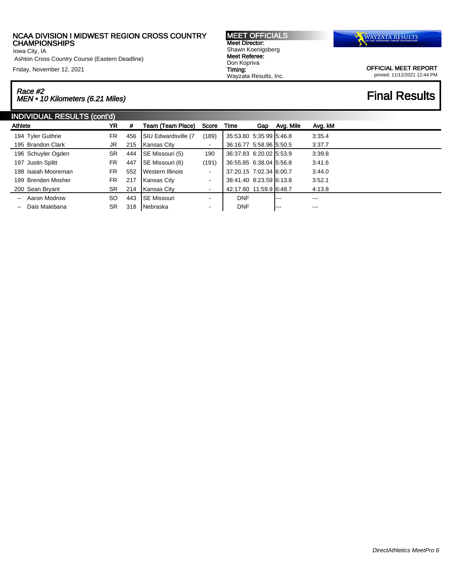Iowa City, IA

Ashton Cross Country Course (Eastern Deadline)

Friday, November 12, 2021

# Race #2 Race #2<br>MEN • 10 Kilometers (6.21 Miles) Final Results

MEET OFFICIALS Meet Director: Shawn Koenigsberg Meet Referee: Don Kopriva Timing: Wayzata Results, Inc.



| <b>INDIVIDUAL RESULTS (cont'd)</b>        |           |     |                        |                |                         |     |           |         |  |  |
|-------------------------------------------|-----------|-----|------------------------|----------------|-------------------------|-----|-----------|---------|--|--|
| Athlete                                   | YR        | #   | Team (Team Place)      | Score          | Time                    | Gap | Avg. Mile | Avg. kM |  |  |
| 194 Tyler Guthrie                         | FR.       | 456 | SIU Edwardsville (7    | (189)          | 35:53.80 5:35.99 5:46.8 |     |           | 3:35.4  |  |  |
| 195 Brandon Clark                         | JR        | 215 | Kansas City            | ٠              | 36:16.77 5:58.96 5:50.5 |     |           | 3:37.7  |  |  |
| 196 Schuyler Ogden                        | <b>SR</b> | 444 | <b>SE Missouri (5)</b> | 190            | 36:37.83 6:20.02 5:53.9 |     |           | 3.39.8  |  |  |
| 197 Justin Splitt                         | FR.       | 447 | <b>SE Missouri (6)</b> | (191)          | 36:55.85 6:38.04 5:56.8 |     |           | 3:41.6  |  |  |
| 198 Isaiah Mooreman                       | FR.       | 552 | Western Illinois       | ٠              | 37:20.15 7:02.34 6:00.7 |     |           | 3.44.0  |  |  |
| 199 Brenden Mosher                        | FR.       | 217 | Kansas City            | ٠              | 38:41.40 8:23.59 6:13.8 |     |           | 3:52.1  |  |  |
| 200 Sean Bryant                           | SR.       | 214 | <b>IKansas City</b>    | ٠              | 42:17.80 11:59.9 6:48.7 |     |           | 4:13.8  |  |  |
| Aaron Modrow<br>$\mathbf{u}$              | SO.       | 443 | <b>ISE Missouri</b>    | $\blacksquare$ | <b>DNF</b>              |     | $--$      | ---     |  |  |
| Dais Malebana<br>$\overline{\phantom{a}}$ | <b>SR</b> | 318 | Nebraska               | ٠              | <b>DNF</b>              |     | l---      | ---     |  |  |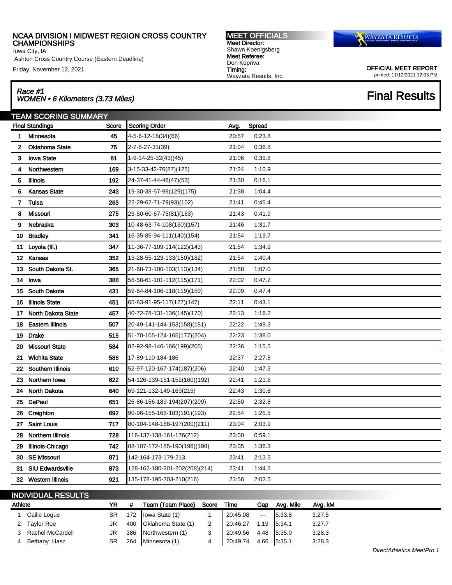Iowa City, IA

Ashton Cross Country Course (Eastern Deadline)

Friday, November 12, 2021

## Race #1 Race #1<br>WOMEN • 6 Kilometers (3.73 Miles) Final Results

TEAM SCORING SUMMARY Final Standings **Score Score Scoring Order Avg.** Spread Minnesota 45 4-5-6-12-18(34)(66) 20:57 0:23.8 Oklahoma State 75 2-7-8-27-31(39) 21:04 0:36.8 Iowa State 81 1-9-14-25-32(43)(45) 21:06 0:39.8 Northwestern 169 3-15-33-42-76(87)(125) 21:24 1:10.9 Illinois 192 24-37-41-44-46(47)(53) 21:30 0:16.1 Kansas State 243 19-30-38-57-99(129)(175) 21:38 1:04.4 Tulsa 263 22-29-62-71-79(93)(102) 21:41 0:45.4 Missouri 275 23-50-60-67-75(81)(163) 21:43 0:41.9 Nebraska 303 10-48-63-74-108(130)(157) 21:46 1:31.7 Bradley 341 16-35-85-94-111(140)(154) 21:54 1:19.7 Loyola (Ill.) 347 11-36-77-109-114(122)(143) 21:54 1:34.9 Kansas 352 13-28-55-123-133(150)(182) 21:54 1:40.4 South Dakota St. 365 21-68-73-100-103(113)(134) 21:58 1:07.0 Iowa 388 56-58-61-101-112(115)(171) 22:02 0:47.2 South Dakota 431 59-64-84-106-118(119)(159) 22:09 0:47.4 Illinois State 451 65-83-91-95-117(127)(147) 22:11 0:43.1 North Dakota State 457 40-72-78-131-136(145)(170) 22:13 1:16.2 Eastern Illinois 507 20-49-141-144-153(158)(181) 22:22 1:49.3 Drake 515 51-70-105-124-165(177)(204) 22:23 1:38.0 Missouri State 584 82-92-98-146-166(199)(205) 22:36 1:15.5 Wichita State 586 17-89-110-184-186 22:37 2:27.8 Southern Illinois 610 52-97-120-167-174(187)(206) 22:40 1:47.3 Northern Iowa 622 54-126-139-151-152(160)(192) 22:41 1:21.6 North Dakota 640 69-121-132-149-169(215) 22:43 1:30.8 DePaul 651 26-86-156-189-194(207)(209) 22:50 2:32.8 Creighton 692 90-96-155-168-183(191)(193) 22:54 1:25.5 Saint Louis 717 80-104-148-188-197(200)(211) 23:04 2:03.9 Northern Illinois 728 116-137-138-161-176(212) 23:00 0:59.1 Illinois-Chicago 742 88-107-172-185-190(196)(198) 23:05 1:36.3 SE Missouri 871 142-164-173-179-213 23:41 2:13.5 SIU Edwardsville 873 128-162-180-201-202(208)(214) 23:41 1:44.5 Western Illinois 921 135-178-195-203-210(216) 23:56 2:02.5

# INDIVIDUAL RESULTS

| Athlete |                    | YR        | Team (Team Place)       | Score | Time                         | Gap                      | Ava. Mile | Avg. kM |
|---------|--------------------|-----------|-------------------------|-------|------------------------------|--------------------------|-----------|---------|
|         | Cailie Loque       | SR        | 172   Iowa State (1)    |       | 20:45.08                     | $\overline{\phantom{a}}$ | 5:33.8    | 3:27.5  |
|         | 2 Taylor Roe       | JR        | 400 Oklahoma State (1)  | 2     | $\mid$ 20:46.27              | 1.19 5:34.1              |           | 3:27.7  |
|         | 3 Rachel McCardell |           | JR 386 Northwestern (1) | 3     | $\vert$ 20:49.56 4.48 5:35.0 |                          |           | 3:28.3  |
| 4       | Bethany Hasz       | <b>SR</b> | 264   Minnesota (1)     | 4     | 20:49.74                     | 4.66 5:35.1              |           | 3:28.3  |

DirectAthletics MeetPro 1



MEET OFFICIALS Meet Director: Shawn Koenigsberg Meet Referee: Don Kopriva Timing: Wayzata Results, Inc.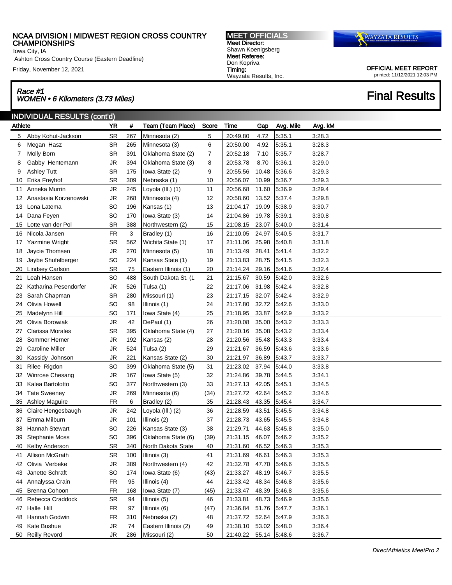Iowa City, IA

Friday, November 12, 2021

# Race #1

INDIVIDUAL RESULTS (cont'd) Athlete **YR** # Team (Team Place) Score Time Gap Avg. Mile Avg. kM Abby Kohut-Jackson SR 267 Minnesota (2) 5 20:49.80 4.72 5:35.1 3:28.3 Megan Hasz SR 265 Minnesota (3) 6 20:50.00 4.92 5:35.1 3:28.3 Molly Born SR 391 Oklahoma State (2) 7 20:52.18 7.10 5:35.7 3:28.7 Gabby Hentemann JR 394 Oklahoma State (3) 8 20:53.78 8.70 5:36.1 3:29.0 Ashley Tutt SR 175 Iowa State (2) 9 20:55.56 10.48 5:36.6 3:29.3 Erika Freyhof SR 309 Nebraska (1) 10 20:56.07 10.99 5:36.7 3:29.3 Anneka Murrin JR 245 Loyola (Ill.) (1) 11 20:56.68 11.60 5:36.9 3:29.4 Anastasia Korzenowski JR 268 Minnesota (4) 12 20:58.60 13.52 5:37.4 3:29.8 Lona Latema SO 196 Kansas (1) 13 21:04.17 19.09 5:38.9 3:30.7 Dana Feyen SO 170 Iowa State (3) 14 21:04.86 19.78 5:39.1 3:30.8 Lotte van der Pol SR 388 Northwestern (2) 15 21:08.15 23.07 5:40.0 3:31.4 Nicola Jansen FR 3 Bradley (1) 16 21:10.05 24.97 5:40.5 3:31.7 Yazmine Wright SR 562 Wichita State (1) 17 21:11.06 25.98 5:40.8 3:31.8 Jaycie Thomsen JR 270 Minnesota (5) 18 21:13.49 28.41 5:41.4 3:32.2 Jaybe Shufelberger SO 224 Kansas State (1) 19 21:13.83 28.75 5:41.5 3:32.3 Lindsey Carlson SR 75 Eastern Illinois (1) 20 21:14.24 29.16 5:41.6 3:32.4 Leah Hansen SO 488 South Dakota St. (1 21 21:15.67 30.59 5:42.0 3:32.6 Katharina Pesendorfer JR 526 Tulsa (1) 22 21:17.06 31.98 5:42.4 3:32.8 Sarah Chapman SR 280 Missouri (1) 23 21:17.15 32.07 5:42.4 3:32.9 Olivia Howell SO 98 Illinois (1) 24 21:17.80 32.72 5:42.6 3:33.0 Race #1<br>WOMEN • 6 Kilometers (3.73 Miles) Final Results

MEET OFFICIALS

 Madelynn Hill SO 171 Iowa State (4) 25 21:18.95 33.87 5:42.9 3:33.2 Olivia Borowiak JR 42 DePaul (1) 26 21:20.08 35.00 5:43.2 3:33.3 Clarissa Morales SR 395 Oklahoma State (4) 27 21:20.16 35.08 5:43.2 3:33.4 Sommer Herner JR 192 Kansas (2) 28 21:20.56 35.48 5:43.3 3:33.4 Caroline Miller JR 524 Tulsa (2) 29 21:21.67 36.59 5:43.6 3:33.6 Kassidy Johnson JR 221 Kansas State (2) 30 21:21.97 36.89 5:43.7 3:33.7 Rilee Rigdon SO 399 Oklahoma State (5) 31 21:23.02 37.94 5:44.0 3:33.8 Winrose Chesang JR 167 Iowa State (5) 32 21:24.86 39.78 5:44.5 3:34.1 Kalea Bartolotto SO 377 Northwestern (3) 33 21:27.13 42.05 5:45.1 3:34.5 Tate Sweeney JR 269 Minnesota (6) (34) 21:27.72 42.64 5:45.2 3:34.6 Ashley Maguire FR 6 Bradley (2) 35 21:28.43 43.35 5:45.4 3:34.7 Claire Hengesbaugh JR 242 Loyola (Ill.) (2) 36 21:28.59 43.51 5:45.5 3:34.8 Emma Milburn JR 101 Illinois (2) 37 21:28.73 43.65 5:45.5 3:34.8 Hannah Stewart SO 226 Kansas State (3) 38 21:29.71 44.63 5:45.8 3:35.0 Stephanie Moss SO 396 Oklahoma State (6) (39) 21:31.15 46.07 5:46.2 3:35.2 Kelby Anderson SR 340 North Dakota State 40 21:31.60 46.52 5:46.3 3:35.3 Allison McGrath SR 100 Illinois (3) 41 21:31.69 46.61 5:46.3 3:35.3 Olivia Verbeke JR 389 Northwestern (4) 42 21:32.78 47.70 5:46.6 3:35.5 Janette Schraft SO 174 Iowa State (6) (43) 21:33.27 48.19 5:46.7 3:35.5 Annalyssa Crain FR 95 Illinois (4) 44 21:33.42 48.34 5:46.8 3:35.6 Brenna Cohoon FR 168 Iowa State (7) (45) 21:33.47 48.39 5:46.8 3:35.6 Rebecca Craddock SR 94 Illinois (5) 46 21:33.81 48.73 5:46.9 3:35.6 Halle Hill FR 97 Illinois (6) (47) 21:36.84 51.76 5:47.7 3:36.1 Hannah Godwin FR 310 Nebraska (2) 48 21:37.72 52.64 5:47.9 3:36.3 Kate Bushue JR 74 Eastern Illinois (2) 49 21:38.10 53.02 5:48.0 3:36.4 Reilly Revord JR 286 Missouri (2) 50 21:40.22 55.14 5:48.6 3:36.7

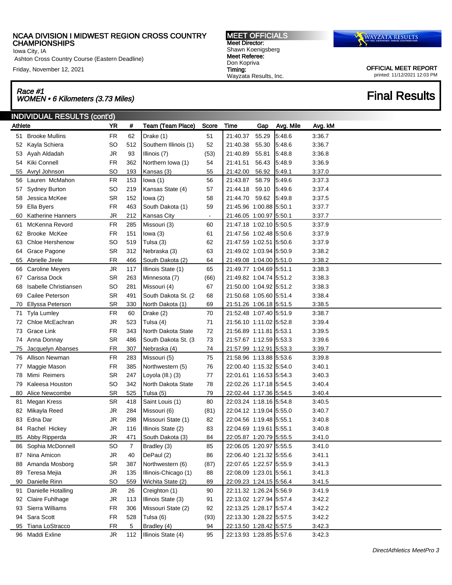Iowa City, IA

Ashton Cross Country Course (Eastern Deadline)

Friday, November 12, 2021

# Race #1 Race #1<br>WOMEN • 6 Kilometers (3.73 Miles) Final Results

MEET OFFICIALS Meet Director: Shawn Koenigsberg Meet Referee: Don Kopriva Timing: Wayzata Results, Inc.



|         | INDIVIDUAL RESULTS (cont'd) |           |                |                          |       |                         |       |           |         |
|---------|-----------------------------|-----------|----------------|--------------------------|-------|-------------------------|-------|-----------|---------|
| Athlete |                             | <b>YR</b> | #              | <b>Team (Team Place)</b> | Score | Time                    | Gap   | Avg. Mile | Avg. kM |
|         | 51 Brooke Mullins           | <b>FR</b> | 62             | Drake (1)                | 51    | 21:40.37                | 55.29 | 5.48.6    | 3:36.7  |
|         | 52 Kayla Schiera            | <b>SO</b> | 512            | Southern Illinois (1)    | 52    | 21:40.38                | 55.30 | 5:48.6    | 3:36.7  |
|         | 53 Ayah Aldadah             | JR        | 93             | Illinois (7)             | (53)  | 21:40.89                | 55.81 | 5:48.8    | 3:36.8  |
| 54      | Kiki Connell                | <b>FR</b> | 362            | Northern Iowa (1)        | 54    | 21:41.51                | 56.43 | 5:48.9    | 3:36.9  |
| 55      | Avryl Johnson               | <b>SO</b> | 193            | Kansas (3)               | 55    | 21:42.00                | 56.92 | 5:49.1    | 3:37.0  |
|         | 56 Lauren McMahon           | <b>FR</b> | 153            | lowa $(1)$               | 56    | 21:43.87                | 58.79 | 5.49.6    | 3:37.3  |
| 57      | <b>Sydney Burton</b>        | <b>SO</b> | 219            | Kansas State (4)         | 57    | 21:44.18                | 59.10 | 5:49.6    | 3:37.4  |
| 58      | Jessica McKee               | <b>SR</b> | 152            | lowa $(2)$               | 58    | 21:44.70                | 59.62 | 5.49.8    | 3:37.5  |
| 59      | Ella Byers                  | <b>FR</b> | 463            | South Dakota (1)         | 59    | 21:45.96 1:00.88 5:50.1 |       |           | 3:37.7  |
| 60      | <b>Katherine Hanners</b>    | JR        | 212            | <b>Kansas City</b>       |       | 21:46.05 1:00.97 5:50.1 |       |           | 3:37.7  |
| 61      | McKenna Revord              | <b>FR</b> | 285            | Missouri (3)             | 60    | 21:47.18 1:02.10 5:50.5 |       |           | 3:37.9  |
| 62      | Brooke McKee                | <b>FR</b> | 151            | lowa $(3)$               | 61    | 21:47.56 1:02.48 5:50.6 |       |           | 3:37.9  |
| 63      | <b>Chloe Hershenow</b>      | <b>SO</b> | 519            | Tulsa (3)                | 62    | 21:47.59 1:02.51 5:50.6 |       |           | 3:37.9  |
| 64      | Grace Pagone                | <b>SR</b> | 312            | Nebraska (3)             | 63    | 21:49.02 1:03.94 5:50.9 |       |           | 3:38.2  |
|         | 65 Abrielle Jirele          | <b>FR</b> | 466            | South Dakota (2)         | 64    | 21:49.08 1:04.00 5:51.0 |       |           | 3:38.2  |
| 66      | <b>Caroline Meyers</b>      | <b>JR</b> | 117            | Illinois State (1)       | 65    | 21:49.77 1:04.69 5:51.1 |       |           | 3:38.3  |
| 67      | Carissa Dock                | <b>SR</b> | 263            | Minnesota (7)            | (66)  | 21:49.82 1:04.74 5:51.2 |       |           | 3:38.3  |
| 68      | Isabelle Christiansen       | SO        | 281            | Missouri (4)             | 67    | 21:50.00 1:04.92 5:51.2 |       |           | 3:38.3  |
| 69      | Cailee Peterson             | <b>SR</b> | 491            | South Dakota St. (2      | 68    | 21:50.68 1:05.60 5:51.4 |       |           | 3:38.4  |
| 70      | Ellyssa Peterson            | <b>SR</b> | 330            | North Dakota (1)         | 69    | 21:51.26 1:06.18 5:51.5 |       |           | 3:38.5  |
| 71      | <b>Tyla Lumley</b>          | <b>FR</b> | 60             | Drake (2)                | 70    | 21:52.48 1:07.40 5:51.9 |       |           | 3:38.7  |
| 72      | Chloe McEachran             | <b>JR</b> | 523            | Tulsa (4)                | 71    | 21:56.10 1:11.02 5:52.8 |       |           | 3:39.4  |
| 73      | Grace Link                  | <b>FR</b> | 343            | North Dakota State       | 72    | 21:56.89 1:11.81 5:53.1 |       |           | 3:39.5  |
| 74      | Anna Donnay                 | <b>SR</b> | 486            | South Dakota St. (3      | 73    | 21:57.67 1:12.59 5:53.3 |       |           | 3:39.6  |
| 75      | Jacquelyn Abanses           | <b>FR</b> | 307            | Nebraska (4)             | 74    | 21:57.99 1:12.91 5:53.3 |       |           | 3:39.7  |
| 76      | Allison Newman              | <b>FR</b> | 283            | Missouri (5)             | 75    | 21:58.96 1:13.88 5:53.6 |       |           | 3:39.8  |
| 77      | Maggie Mason                | <b>FR</b> | 385            | Northwestern (5)         | 76    | 22:00.40 1:15.32 5:54.0 |       |           | 3:40.1  |
| 78      | Mimi Reimers                | <b>SR</b> | 247            | Loyola (III.) (3)        | 77    | 22:01.61 1:16.53 5:54.3 |       |           | 3:40.3  |
| 79      | Kaleesa Houston             | SO        | 342            | North Dakota State       | 78    | 22:02.26 1:17.18 5:54.5 |       |           | 3:40.4  |
| 80      | Alice Newcombe              | <b>SR</b> | 525            | Tulsa (5)                | 79    | 22:02.44 1:17.36 5:54.5 |       |           | 3:40.4  |
| 81      | Megan Kress                 | <b>SR</b> | 418            | Saint Louis (1)          | 80    | 22:03.24 1:18.16 5:54.8 |       |           | 3:40.5  |
| 82      | Mikayla Reed                | <b>JR</b> | 284            | Missouri (6)             | (81)  | 22:04.12 1:19.04 5:55.0 |       |           | 3:40.7  |
| 83      | Edna Dar                    | <b>JR</b> | 298            | Missouri State (1)       | 82    | 22:04.56 1:19.48 5:55.1 |       |           | 3:40.8  |
|         | 84 Rachel Hickey            | <b>JR</b> | 116            | Illinois State (2)       | 83    | 22:04.69 1:19.61 5:55.1 |       |           | 3:40.8  |
|         | 85 Abby Ripperda            | JR        | 471            | South Dakota (3)         | 84    | 22:05.87 1:20.79 5:55.5 |       |           | 3:41.0  |
|         | 86 Sophia McDonnell         | SO        | $\overline{7}$ | Bradley (3)              | 85    | 22:06.05 1:20.97 5:55.5 |       |           | 3:41.0  |
| 87      | Nina Amicon                 | JR.       | 40             | DePaul (2)               | 86    | 22:06.40 1:21.32 5:55.6 |       |           | 3:41.1  |
| 88      | Amanda Mosborg              | SR        | 387            | Northwestern (6)         | (87)  | 22:07.65 1:22.57 5:55.9 |       |           | 3:41.3  |
| 89      | Teresa Mejia                | JR        | 135            | Illinois-Chicago (1)     | 88    | 22:08.09 1:23.01 5:56.1 |       |           | 3:41.3  |
| 90      | Danielle Rinn               | SO        | 559            | Wichita State (2)        | 89    | 22:09.23 1:24.15 5:56.4 |       |           | 3:41.5  |
| 91      | Danielle Hotalling          | JR        | 26             | Creighton (1)            | 90    | 22:11.32 1:26.24 5:56.9 |       |           | 3:41.9  |
| 92      | Claire Fuhlhage             | JR        | 113            | Illinois State (3)       | 91    | 22:13.02 1:27.94 5:57.4 |       |           | 3:42.2  |
| 93      | Sierra Williams             | FR        | 306            | Missouri State (2)       | 92    | 22:13.25 1:28.17 5:57.4 |       |           | 3:42.2  |
| 94      | Sara Scott                  | FR        | 528            | Tulsa (6)                | (93)  | 22:13.30 1:28.22 5:57.5 |       |           | 3:42.2  |
|         | 95 Tiana LoStracco          | <b>FR</b> | 5              | Bradley (4)              | 94    | 22:13.50 1:28.42 5:57.5 |       |           | 3:42.3  |
|         | 96 Maddi Exline             | JR        | 112            | Illinois State (4)       | 95    | 22:13.93 1:28.85 5:57.6 |       |           | 3:42.3  |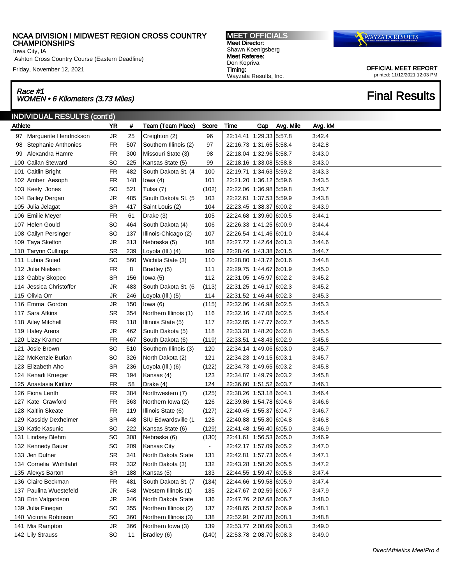Iowa City, IA

Ashton Cross Country Course (Eastern Deadline)

Friday, November 12, 2021

# Race #1 Race #1<br>WOMEN • 6 Kilometers (3.73 Miles) Final Results

MEET OFFICIALS Meet Director: Shawn Koenigsberg Meet Referee: Don Kopriva Timing: Wayzata Results, Inc.



| <b>INDIVIDUAL RESULTS (cont'd)</b> |                                                                                                                                                                                                                                                                                                                                                                                                                                                                                                                                                                                                                                                                                                                                                                                                                                                                                                                                                                                                              |     |                       |                |      |     |           |                                                                                                                                                                                                                                                                                                                                                                                                                                                                                                                                                                                                                                                                                                                                                                                                                                                                                                                                                                                                                                                                                                                                                                                                                                                                                        |  |
|------------------------------------|--------------------------------------------------------------------------------------------------------------------------------------------------------------------------------------------------------------------------------------------------------------------------------------------------------------------------------------------------------------------------------------------------------------------------------------------------------------------------------------------------------------------------------------------------------------------------------------------------------------------------------------------------------------------------------------------------------------------------------------------------------------------------------------------------------------------------------------------------------------------------------------------------------------------------------------------------------------------------------------------------------------|-----|-----------------------|----------------|------|-----|-----------|----------------------------------------------------------------------------------------------------------------------------------------------------------------------------------------------------------------------------------------------------------------------------------------------------------------------------------------------------------------------------------------------------------------------------------------------------------------------------------------------------------------------------------------------------------------------------------------------------------------------------------------------------------------------------------------------------------------------------------------------------------------------------------------------------------------------------------------------------------------------------------------------------------------------------------------------------------------------------------------------------------------------------------------------------------------------------------------------------------------------------------------------------------------------------------------------------------------------------------------------------------------------------------------|--|
|                                    | YR                                                                                                                                                                                                                                                                                                                                                                                                                                                                                                                                                                                                                                                                                                                                                                                                                                                                                                                                                                                                           | #   | Team (Team Place)     | Score          | Time | Gap | Avg. Mile | Avg. kM                                                                                                                                                                                                                                                                                                                                                                                                                                                                                                                                                                                                                                                                                                                                                                                                                                                                                                                                                                                                                                                                                                                                                                                                                                                                                |  |
|                                    |                                                                                                                                                                                                                                                                                                                                                                                                                                                                                                                                                                                                                                                                                                                                                                                                                                                                                                                                                                                                              | 25  |                       | 96             |      |     |           | 3.42.4                                                                                                                                                                                                                                                                                                                                                                                                                                                                                                                                                                                                                                                                                                                                                                                                                                                                                                                                                                                                                                                                                                                                                                                                                                                                                 |  |
| <b>Stephanie Anthonies</b>         | <b>FR</b>                                                                                                                                                                                                                                                                                                                                                                                                                                                                                                                                                                                                                                                                                                                                                                                                                                                                                                                                                                                                    | 507 | Southern Illinois (2) | 97             |      |     |           | 3:42.8                                                                                                                                                                                                                                                                                                                                                                                                                                                                                                                                                                                                                                                                                                                                                                                                                                                                                                                                                                                                                                                                                                                                                                                                                                                                                 |  |
|                                    | <b>FR</b>                                                                                                                                                                                                                                                                                                                                                                                                                                                                                                                                                                                                                                                                                                                                                                                                                                                                                                                                                                                                    | 300 | Missouri State (3)    | 98             |      |     |           | 3:43.0                                                                                                                                                                                                                                                                                                                                                                                                                                                                                                                                                                                                                                                                                                                                                                                                                                                                                                                                                                                                                                                                                                                                                                                                                                                                                 |  |
|                                    | SO                                                                                                                                                                                                                                                                                                                                                                                                                                                                                                                                                                                                                                                                                                                                                                                                                                                                                                                                                                                                           | 225 | Kansas State (5)      | 99             |      |     |           | 3:43.0                                                                                                                                                                                                                                                                                                                                                                                                                                                                                                                                                                                                                                                                                                                                                                                                                                                                                                                                                                                                                                                                                                                                                                                                                                                                                 |  |
|                                    | <b>FR</b>                                                                                                                                                                                                                                                                                                                                                                                                                                                                                                                                                                                                                                                                                                                                                                                                                                                                                                                                                                                                    | 482 | South Dakota St. (4   | 100            |      |     |           | 3:43.3                                                                                                                                                                                                                                                                                                                                                                                                                                                                                                                                                                                                                                                                                                                                                                                                                                                                                                                                                                                                                                                                                                                                                                                                                                                                                 |  |
|                                    | <b>FR</b>                                                                                                                                                                                                                                                                                                                                                                                                                                                                                                                                                                                                                                                                                                                                                                                                                                                                                                                                                                                                    | 148 | lowa $(4)$            | 101            |      |     |           | 3:43.5                                                                                                                                                                                                                                                                                                                                                                                                                                                                                                                                                                                                                                                                                                                                                                                                                                                                                                                                                                                                                                                                                                                                                                                                                                                                                 |  |
|                                    | <b>SO</b>                                                                                                                                                                                                                                                                                                                                                                                                                                                                                                                                                                                                                                                                                                                                                                                                                                                                                                                                                                                                    | 521 | Tulsa (7)             | (102)          |      |     |           | 3:43.7                                                                                                                                                                                                                                                                                                                                                                                                                                                                                                                                                                                                                                                                                                                                                                                                                                                                                                                                                                                                                                                                                                                                                                                                                                                                                 |  |
|                                    | JR                                                                                                                                                                                                                                                                                                                                                                                                                                                                                                                                                                                                                                                                                                                                                                                                                                                                                                                                                                                                           | 485 | South Dakota St. (5   | 103            |      |     |           | 3:43.8                                                                                                                                                                                                                                                                                                                                                                                                                                                                                                                                                                                                                                                                                                                                                                                                                                                                                                                                                                                                                                                                                                                                                                                                                                                                                 |  |
|                                    | <b>SR</b>                                                                                                                                                                                                                                                                                                                                                                                                                                                                                                                                                                                                                                                                                                                                                                                                                                                                                                                                                                                                    | 417 | Saint Louis (2)       | 104            |      |     |           | 3:43.9                                                                                                                                                                                                                                                                                                                                                                                                                                                                                                                                                                                                                                                                                                                                                                                                                                                                                                                                                                                                                                                                                                                                                                                                                                                                                 |  |
|                                    | <b>FR</b>                                                                                                                                                                                                                                                                                                                                                                                                                                                                                                                                                                                                                                                                                                                                                                                                                                                                                                                                                                                                    | 61  | Drake (3)             | 105            |      |     |           | 3:44.1                                                                                                                                                                                                                                                                                                                                                                                                                                                                                                                                                                                                                                                                                                                                                                                                                                                                                                                                                                                                                                                                                                                                                                                                                                                                                 |  |
|                                    | SO                                                                                                                                                                                                                                                                                                                                                                                                                                                                                                                                                                                                                                                                                                                                                                                                                                                                                                                                                                                                           | 464 | South Dakota (4)      | 106            |      |     |           | 3:44.4                                                                                                                                                                                                                                                                                                                                                                                                                                                                                                                                                                                                                                                                                                                                                                                                                                                                                                                                                                                                                                                                                                                                                                                                                                                                                 |  |
|                                    | <b>SO</b>                                                                                                                                                                                                                                                                                                                                                                                                                                                                                                                                                                                                                                                                                                                                                                                                                                                                                                                                                                                                    | 137 | Illinois-Chicago (2)  | 107            |      |     |           | 3:44.4                                                                                                                                                                                                                                                                                                                                                                                                                                                                                                                                                                                                                                                                                                                                                                                                                                                                                                                                                                                                                                                                                                                                                                                                                                                                                 |  |
|                                    | <b>JR</b>                                                                                                                                                                                                                                                                                                                                                                                                                                                                                                                                                                                                                                                                                                                                                                                                                                                                                                                                                                                                    | 313 | Nebraska (5)          | 108            |      |     |           | 3:44.6                                                                                                                                                                                                                                                                                                                                                                                                                                                                                                                                                                                                                                                                                                                                                                                                                                                                                                                                                                                                                                                                                                                                                                                                                                                                                 |  |
|                                    | <b>SR</b>                                                                                                                                                                                                                                                                                                                                                                                                                                                                                                                                                                                                                                                                                                                                                                                                                                                                                                                                                                                                    | 239 | Loyola (III.) (4)     | 109            |      |     |           | 3:44.7                                                                                                                                                                                                                                                                                                                                                                                                                                                                                                                                                                                                                                                                                                                                                                                                                                                                                                                                                                                                                                                                                                                                                                                                                                                                                 |  |
|                                    | SO                                                                                                                                                                                                                                                                                                                                                                                                                                                                                                                                                                                                                                                                                                                                                                                                                                                                                                                                                                                                           | 560 | Wichita State (3)     | 110            |      |     |           | 3:44.8                                                                                                                                                                                                                                                                                                                                                                                                                                                                                                                                                                                                                                                                                                                                                                                                                                                                                                                                                                                                                                                                                                                                                                                                                                                                                 |  |
|                                    | <b>FR</b>                                                                                                                                                                                                                                                                                                                                                                                                                                                                                                                                                                                                                                                                                                                                                                                                                                                                                                                                                                                                    | 8   | Bradley (5)           | 111            |      |     |           | 3:45.0                                                                                                                                                                                                                                                                                                                                                                                                                                                                                                                                                                                                                                                                                                                                                                                                                                                                                                                                                                                                                                                                                                                                                                                                                                                                                 |  |
|                                    | SR                                                                                                                                                                                                                                                                                                                                                                                                                                                                                                                                                                                                                                                                                                                                                                                                                                                                                                                                                                                                           | 156 | lowa $(5)$            | 112            |      |     |           | 3:45.2                                                                                                                                                                                                                                                                                                                                                                                                                                                                                                                                                                                                                                                                                                                                                                                                                                                                                                                                                                                                                                                                                                                                                                                                                                                                                 |  |
|                                    | <b>JR</b>                                                                                                                                                                                                                                                                                                                                                                                                                                                                                                                                                                                                                                                                                                                                                                                                                                                                                                                                                                                                    | 483 | South Dakota St. (6   | (113)          |      |     |           | 3:45.2                                                                                                                                                                                                                                                                                                                                                                                                                                                                                                                                                                                                                                                                                                                                                                                                                                                                                                                                                                                                                                                                                                                                                                                                                                                                                 |  |
|                                    | JR                                                                                                                                                                                                                                                                                                                                                                                                                                                                                                                                                                                                                                                                                                                                                                                                                                                                                                                                                                                                           | 246 | Loyola (III.) (5)     | 114            |      |     |           | 3:45.3                                                                                                                                                                                                                                                                                                                                                                                                                                                                                                                                                                                                                                                                                                                                                                                                                                                                                                                                                                                                                                                                                                                                                                                                                                                                                 |  |
|                                    | JR                                                                                                                                                                                                                                                                                                                                                                                                                                                                                                                                                                                                                                                                                                                                                                                                                                                                                                                                                                                                           | 150 | lowa (6)              | (115)          |      |     |           | 3:45.3                                                                                                                                                                                                                                                                                                                                                                                                                                                                                                                                                                                                                                                                                                                                                                                                                                                                                                                                                                                                                                                                                                                                                                                                                                                                                 |  |
|                                    | <b>SR</b>                                                                                                                                                                                                                                                                                                                                                                                                                                                                                                                                                                                                                                                                                                                                                                                                                                                                                                                                                                                                    | 354 | Northern Illinois (1) | 116            |      |     |           | 3:45.4                                                                                                                                                                                                                                                                                                                                                                                                                                                                                                                                                                                                                                                                                                                                                                                                                                                                                                                                                                                                                                                                                                                                                                                                                                                                                 |  |
|                                    | <b>FR</b>                                                                                                                                                                                                                                                                                                                                                                                                                                                                                                                                                                                                                                                                                                                                                                                                                                                                                                                                                                                                    | 118 | Illinois State (5)    | 117            |      |     |           | 3:45.5                                                                                                                                                                                                                                                                                                                                                                                                                                                                                                                                                                                                                                                                                                                                                                                                                                                                                                                                                                                                                                                                                                                                                                                                                                                                                 |  |
|                                    | JR                                                                                                                                                                                                                                                                                                                                                                                                                                                                                                                                                                                                                                                                                                                                                                                                                                                                                                                                                                                                           | 462 | South Dakota (5)      | 118            |      |     |           | 3:45.5                                                                                                                                                                                                                                                                                                                                                                                                                                                                                                                                                                                                                                                                                                                                                                                                                                                                                                                                                                                                                                                                                                                                                                                                                                                                                 |  |
|                                    | <b>FR</b>                                                                                                                                                                                                                                                                                                                                                                                                                                                                                                                                                                                                                                                                                                                                                                                                                                                                                                                                                                                                    | 467 | South Dakota (6)      | (119)          |      |     |           | 3:45.6                                                                                                                                                                                                                                                                                                                                                                                                                                                                                                                                                                                                                                                                                                                                                                                                                                                                                                                                                                                                                                                                                                                                                                                                                                                                                 |  |
|                                    | SO                                                                                                                                                                                                                                                                                                                                                                                                                                                                                                                                                                                                                                                                                                                                                                                                                                                                                                                                                                                                           | 510 | Southern Illinois (3) | 120            |      |     |           | 3.45.7                                                                                                                                                                                                                                                                                                                                                                                                                                                                                                                                                                                                                                                                                                                                                                                                                                                                                                                                                                                                                                                                                                                                                                                                                                                                                 |  |
|                                    | <b>SO</b>                                                                                                                                                                                                                                                                                                                                                                                                                                                                                                                                                                                                                                                                                                                                                                                                                                                                                                                                                                                                    | 326 | North Dakota (2)      | 121            |      |     |           | 3:45.7                                                                                                                                                                                                                                                                                                                                                                                                                                                                                                                                                                                                                                                                                                                                                                                                                                                                                                                                                                                                                                                                                                                                                                                                                                                                                 |  |
|                                    | <b>SR</b>                                                                                                                                                                                                                                                                                                                                                                                                                                                                                                                                                                                                                                                                                                                                                                                                                                                                                                                                                                                                    | 236 | Loyola (III.) (6)     | (122)          |      |     |           | 3:45.8                                                                                                                                                                                                                                                                                                                                                                                                                                                                                                                                                                                                                                                                                                                                                                                                                                                                                                                                                                                                                                                                                                                                                                                                                                                                                 |  |
|                                    | FR                                                                                                                                                                                                                                                                                                                                                                                                                                                                                                                                                                                                                                                                                                                                                                                                                                                                                                                                                                                                           | 194 | Kansas (4)            | 123            |      |     |           | 3:45.8                                                                                                                                                                                                                                                                                                                                                                                                                                                                                                                                                                                                                                                                                                                                                                                                                                                                                                                                                                                                                                                                                                                                                                                                                                                                                 |  |
|                                    | <b>FR</b>                                                                                                                                                                                                                                                                                                                                                                                                                                                                                                                                                                                                                                                                                                                                                                                                                                                                                                                                                                                                    | 58  | Drake (4)             | 124            |      |     |           | 3.46.1                                                                                                                                                                                                                                                                                                                                                                                                                                                                                                                                                                                                                                                                                                                                                                                                                                                                                                                                                                                                                                                                                                                                                                                                                                                                                 |  |
|                                    | <b>FR</b>                                                                                                                                                                                                                                                                                                                                                                                                                                                                                                                                                                                                                                                                                                                                                                                                                                                                                                                                                                                                    | 384 | Northwestern (7)      | (125)          |      |     |           | 3:46.4                                                                                                                                                                                                                                                                                                                                                                                                                                                                                                                                                                                                                                                                                                                                                                                                                                                                                                                                                                                                                                                                                                                                                                                                                                                                                 |  |
|                                    | <b>FR</b>                                                                                                                                                                                                                                                                                                                                                                                                                                                                                                                                                                                                                                                                                                                                                                                                                                                                                                                                                                                                    | 363 | Northern Iowa (2)     | 126            |      |     |           | 3:46.6                                                                                                                                                                                                                                                                                                                                                                                                                                                                                                                                                                                                                                                                                                                                                                                                                                                                                                                                                                                                                                                                                                                                                                                                                                                                                 |  |
|                                    | <b>FR</b>                                                                                                                                                                                                                                                                                                                                                                                                                                                                                                                                                                                                                                                                                                                                                                                                                                                                                                                                                                                                    | 119 | Illinois State (6)    | (127)          |      |     |           | 3:46.7                                                                                                                                                                                                                                                                                                                                                                                                                                                                                                                                                                                                                                                                                                                                                                                                                                                                                                                                                                                                                                                                                                                                                                                                                                                                                 |  |
|                                    | SR                                                                                                                                                                                                                                                                                                                                                                                                                                                                                                                                                                                                                                                                                                                                                                                                                                                                                                                                                                                                           | 448 | SIU Edwardsville (1   | 128            |      |     |           | 3:46.8                                                                                                                                                                                                                                                                                                                                                                                                                                                                                                                                                                                                                                                                                                                                                                                                                                                                                                                                                                                                                                                                                                                                                                                                                                                                                 |  |
|                                    | <b>SO</b>                                                                                                                                                                                                                                                                                                                                                                                                                                                                                                                                                                                                                                                                                                                                                                                                                                                                                                                                                                                                    | 222 | Kansas State (6)      | (129)          |      |     |           | 3:46.9                                                                                                                                                                                                                                                                                                                                                                                                                                                                                                                                                                                                                                                                                                                                                                                                                                                                                                                                                                                                                                                                                                                                                                                                                                                                                 |  |
|                                    | <b>SO</b>                                                                                                                                                                                                                                                                                                                                                                                                                                                                                                                                                                                                                                                                                                                                                                                                                                                                                                                                                                                                    | 308 | Nebraska (6)          | (130)          |      |     |           | 3:46.9                                                                                                                                                                                                                                                                                                                                                                                                                                                                                                                                                                                                                                                                                                                                                                                                                                                                                                                                                                                                                                                                                                                                                                                                                                                                                 |  |
|                                    | SO                                                                                                                                                                                                                                                                                                                                                                                                                                                                                                                                                                                                                                                                                                                                                                                                                                                                                                                                                                                                           | 209 | Kansas City           | $\blacksquare$ |      |     |           | 3.47.0                                                                                                                                                                                                                                                                                                                                                                                                                                                                                                                                                                                                                                                                                                                                                                                                                                                                                                                                                                                                                                                                                                                                                                                                                                                                                 |  |
|                                    | SR                                                                                                                                                                                                                                                                                                                                                                                                                                                                                                                                                                                                                                                                                                                                                                                                                                                                                                                                                                                                           | 341 | North Dakota State    | 131            |      |     |           | 3:47.1                                                                                                                                                                                                                                                                                                                                                                                                                                                                                                                                                                                                                                                                                                                                                                                                                                                                                                                                                                                                                                                                                                                                                                                                                                                                                 |  |
|                                    | FR                                                                                                                                                                                                                                                                                                                                                                                                                                                                                                                                                                                                                                                                                                                                                                                                                                                                                                                                                                                                           | 332 | North Dakota (3)      | 132            |      |     |           | 3:47.2                                                                                                                                                                                                                                                                                                                                                                                                                                                                                                                                                                                                                                                                                                                                                                                                                                                                                                                                                                                                                                                                                                                                                                                                                                                                                 |  |
|                                    | <b>SR</b>                                                                                                                                                                                                                                                                                                                                                                                                                                                                                                                                                                                                                                                                                                                                                                                                                                                                                                                                                                                                    | 188 | Kansas (5)            | 133            |      |     |           | 3:47.4                                                                                                                                                                                                                                                                                                                                                                                                                                                                                                                                                                                                                                                                                                                                                                                                                                                                                                                                                                                                                                                                                                                                                                                                                                                                                 |  |
|                                    | ${\sf FR}$                                                                                                                                                                                                                                                                                                                                                                                                                                                                                                                                                                                                                                                                                                                                                                                                                                                                                                                                                                                                   | 481 | South Dakota St. (7   | (134)          |      |     |           | 3:47.4                                                                                                                                                                                                                                                                                                                                                                                                                                                                                                                                                                                                                                                                                                                                                                                                                                                                                                                                                                                                                                                                                                                                                                                                                                                                                 |  |
|                                    | JR                                                                                                                                                                                                                                                                                                                                                                                                                                                                                                                                                                                                                                                                                                                                                                                                                                                                                                                                                                                                           | 548 | Western Illinois (1)  | 135            |      |     |           | 3:47.9                                                                                                                                                                                                                                                                                                                                                                                                                                                                                                                                                                                                                                                                                                                                                                                                                                                                                                                                                                                                                                                                                                                                                                                                                                                                                 |  |
|                                    | JR                                                                                                                                                                                                                                                                                                                                                                                                                                                                                                                                                                                                                                                                                                                                                                                                                                                                                                                                                                                                           | 346 | North Dakota State    | 136            |      |     |           | 3:48.0                                                                                                                                                                                                                                                                                                                                                                                                                                                                                                                                                                                                                                                                                                                                                                                                                                                                                                                                                                                                                                                                                                                                                                                                                                                                                 |  |
|                                    | <b>SO</b>                                                                                                                                                                                                                                                                                                                                                                                                                                                                                                                                                                                                                                                                                                                                                                                                                                                                                                                                                                                                    | 355 | Northern Illinois (2) | 137            |      |     |           | 3:48.1                                                                                                                                                                                                                                                                                                                                                                                                                                                                                                                                                                                                                                                                                                                                                                                                                                                                                                                                                                                                                                                                                                                                                                                                                                                                                 |  |
|                                    | <b>SO</b>                                                                                                                                                                                                                                                                                                                                                                                                                                                                                                                                                                                                                                                                                                                                                                                                                                                                                                                                                                                                    | 360 | Northern Illinois (3) | 138            |      |     |           | 3:48.8                                                                                                                                                                                                                                                                                                                                                                                                                                                                                                                                                                                                                                                                                                                                                                                                                                                                                                                                                                                                                                                                                                                                                                                                                                                                                 |  |
|                                    | JR                                                                                                                                                                                                                                                                                                                                                                                                                                                                                                                                                                                                                                                                                                                                                                                                                                                                                                                                                                                                           | 366 | Northern Iowa (3)     | 139            |      |     |           | 3:49.0                                                                                                                                                                                                                                                                                                                                                                                                                                                                                                                                                                                                                                                                                                                                                                                                                                                                                                                                                                                                                                                                                                                                                                                                                                                                                 |  |
|                                    | SO                                                                                                                                                                                                                                                                                                                                                                                                                                                                                                                                                                                                                                                                                                                                                                                                                                                                                                                                                                                                           | 11  | Bradley (6)           | (140)          |      |     |           | 3:49.0                                                                                                                                                                                                                                                                                                                                                                                                                                                                                                                                                                                                                                                                                                                                                                                                                                                                                                                                                                                                                                                                                                                                                                                                                                                                                 |  |
| 99                                 | Athlete<br>97 Marguerite Hendrickson<br>Alexandra Hamre<br>100 Cailan Steward<br>101 Caitlin Bright<br>102 Amber Aesoph<br>103 Keely Jones<br>104 Bailey Dergan<br>105 Julia Jelagat<br>106 Emilie Meyer<br>107 Helen Gould<br>108 Cailyn Persinger<br>109 Taya Skelton<br>110 Tarynn Cullings<br>111 Lubna Suied<br>112 Julia Nielsen<br>113 Gabby Skopec<br>114 Jessica Christoffer<br>115 Olivia Orr<br>116 Emma Gordon<br>117 Sara Atkins<br>118 Ailey Mitchell<br>119 Haley Arens<br>120 Lizzy Kramer<br>121 Josie Brown<br>122 McKenzie Burian<br>123 Elizabeth Aho<br>124 Kenadi Krueger<br>125 Anastasia Kirillov<br>126 Fiona Lenth<br>127 Kate Crawford<br>128 Kaitlin Skeate<br>129 Kassidy Dexheimer<br>130 Katie Kasunic<br>131 Lindsey Blehm<br>132 Kennedy Bauer<br>133 Jen Dufner<br>134 Cornelia Wohlfahrt<br>135 Alexys Barton<br>136 Claire Beckman<br>137 Paulina Wuestefeld<br>138 Erin Valgardson<br>139 Julia Finegan<br>140 Victoria Robinson<br>141 Mia Rampton<br>142 Lily Strauss | JR  |                       | Creighton (2)  |      |     |           | 22:14.41 1:29.33 5:57.8<br>22:16.73 1:31.65 5:58.4<br>22:18.04 1:32.96 5:58.7<br>22:18.16 1:33.08 5:58.8<br>22:19.71 1:34.63 5:59.2<br>22:21.20 1:36.12 5:59.6<br>22:22.06 1:36.98 5:59.8<br>22:22.61 1:37.53 5:59.9<br>22:23.45 1:38.37 6:00.2<br>22:24.68 1:39.60 6:00.5<br>22:26.33 1:41.25 6:00.9<br>22:26.54 1:41.46 6:01.0<br>22:27.72 1:42.64 6:01.3<br>22:28.46 1:43.38 6:01.5<br>22:28.80 1:43.72 6:01.6<br>22:29.75 1:44.67 6:01.9<br>22:31.05 1:45.97 6:02.2<br>22:31.25 1:46.17 6:02.3<br>22:31.52 1:46.44 6:02.3<br>22:32.06 1:46.98 6:02.5<br>22:32.16 1:47.08 6:02.5<br>22:32.85 1:47.77 6:02.7<br>22:33.28 1:48.20 6:02.8<br>22:33.51 1:48.43 6:02.9<br>22:34.14 1:49.06 6:03.0<br>22:34.23 1:49.15 6:03.1<br>22:34.73 1:49.65 6:03.2<br>22:34.87 1:49.79 6:03.2<br>22:36.60 1:51.52 6:03.7<br>22:38.26 1:53.18 6:04.1<br>22:39.86 1:54.78 6:04.6<br>22:40.45 1:55.37 6:04.7<br>22:40.88 1:55.80 6:04.8<br>22:41.48 1:56.40 6:05.0<br>22:41.61 1:56.53 6:05.0<br>22:42.17 1:57.09 6:05.2<br>22:42.81 1:57.73 6:05.4<br>22:43.28 1:58.20 6:05.5<br>22:44.55 1:59.47 6:05.8<br>22:44.66 1:59.58 6:05.9<br>22:47.67 2:02.59 6:06.7<br>22:47.76 2:02.68 6:06.7<br>22:48.65 2:03.57 6:06.9<br>22:52.91 2:07.83 6:08.1<br>22:53.77 2:08.69 6:08.3<br>22:53.78 2:08.70 6:08.3 |  |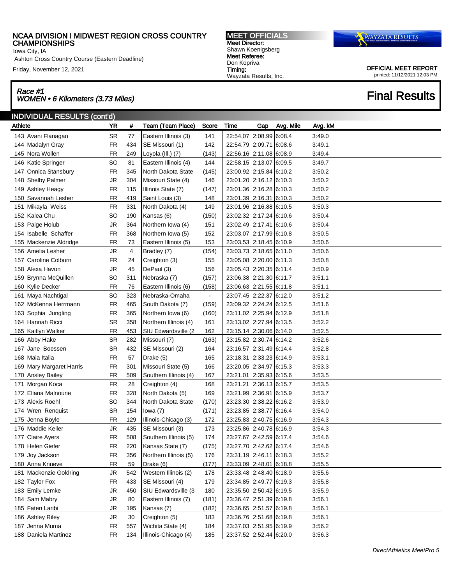Iowa City, IA

Ashton Cross Country Course (Eastern Deadline)

Friday, November 12, 2021

# Race #1 Race #1<br>WOMEN • 6 Kilometers (3.73 Miles) Final Results

MEET OFFICIALS Meet Director: Shawn Koenigsberg Meet Referee: Don Kopriva Timing: Wayzata Results, Inc.



| <b>INDIVIDUAL RESULTS (cont'd)</b> |           |     |                       |                |                         |     |           |         |  |  |  |
|------------------------------------|-----------|-----|-----------------------|----------------|-------------------------|-----|-----------|---------|--|--|--|
| Athlete                            | <b>YR</b> | #   | Team (Team Place)     | Score          | <b>Time</b>             | Gap | Avg. Mile | Avg. kM |  |  |  |
| 143 Avani Flanagan                 | <b>SR</b> | 77  | Eastern Illinois (3)  | 141            | 22:54.07 2:08.99 6:08.4 |     |           | 3.49.0  |  |  |  |
| 144 Madalyn Gray                   | <b>FR</b> | 434 | SE Missouri (1)       | 142            | 22:54.79 2:09.71 6:08.6 |     |           | 3:49.1  |  |  |  |
| 145 Nora Wollen                    | <b>FR</b> | 249 | Loyola (III.) (7)     | (143)          | 22:56.16 2:11.08 6:08.9 |     |           | 3:49.4  |  |  |  |
| 146 Katie Springer                 | SO        | 81  | Eastern Illinois (4)  | 144            | 22:58.15 2:13.07 6:09.5 |     |           | 3:49.7  |  |  |  |
| 147 Onnica Stansbury               | <b>FR</b> | 345 | North Dakota State    | (145)          | 23:00.92 2:15.84 6:10.2 |     |           | 3:50.2  |  |  |  |
| 148 Shelby Palmer                  | JR        | 304 | Missouri State (4)    | 146            | 23:01.20 2:16.12 6:10.3 |     |           | 3:50.2  |  |  |  |
| 149 Ashley Heagy                   | <b>FR</b> | 115 | Illinois State (7)    | (147)          | 23:01.36 2:16.28 6:10.3 |     |           | 3:50.2  |  |  |  |
| 150 Savannah Lesher                | <b>FR</b> | 419 | Saint Louis (3)       | 148            | 23:01.39 2:16.31 6:10.3 |     |           | 3:50.2  |  |  |  |
| 151 Mikayla Weiss                  | <b>FR</b> | 331 | North Dakota (4)      | 149            | 23:01.96 2:16.88 6:10.5 |     |           | 3:50.3  |  |  |  |
| 152 Kalea Chu                      | <b>SO</b> | 190 | Kansas (6)            | (150)          | 23:02.32 2:17.24 6:10.6 |     |           | 3:50.4  |  |  |  |
| 153 Paige Holub                    | JR        | 364 | Northern Iowa (4)     | 151            | 23:02.49 2:17.41 6:10.6 |     |           | 3:50.4  |  |  |  |
| 154 Isabelle Schaffer              | <b>FR</b> | 368 | Northern Iowa (5)     | 152            | 23:03.07 2:17.99 6:10.8 |     |           | 3:50.5  |  |  |  |
| 155 Mackenzie Aldridge             | <b>FR</b> | 73  | Eastern Illinois (5)  | 153            | 23:03.53 2:18.45 6:10.9 |     |           | 3:50.6  |  |  |  |
| 156 Amelia Lesher                  | <b>JR</b> | 4   | Bradley (7)           | (154)          | 23:03.73 2:18.65 6:11.0 |     |           | 3:50.6  |  |  |  |
| 157 Caroline Colburn               | <b>FR</b> | 24  | Creighton (3)         | 155            | 23:05.08 2:20.00 6:11.3 |     |           | 3:50.8  |  |  |  |
| 158 Alexa Havon                    | JR        | 45  | DePaul (3)            | 156            | 23:05.43 2:20.35 6:11.4 |     |           | 3:50.9  |  |  |  |
| 159 Brynna McQuillen               | SO        | 311 | Nebraska (7)          | (157)          | 23:06.38 2:21.30 6:11.7 |     |           | 3:51.1  |  |  |  |
| 160 Kylie Decker                   | <b>FR</b> | 76  | Eastern Illinois (6)  | (158)          | 23:06.63 2:21.55 6:11.8 |     |           | 3:51.1  |  |  |  |
| 161 Maya Nachtigal                 | SO        | 323 | Nebraska-Omaha        | $\blacksquare$ | 23:07.45 2:22.37 6:12.0 |     |           | 3:51.2  |  |  |  |
| 162 McKenna Herrmann               | <b>FR</b> | 465 | South Dakota (7)      | (159)          | 23:09.32 2:24.24 6:12.5 |     |           | 3:51.6  |  |  |  |
| 163 Sophia Jungling                | <b>FR</b> | 365 | Northern Iowa (6)     | (160)          | 23:11.02 2:25.94 6:12.9 |     |           | 3:51.8  |  |  |  |
| 164 Hannah Ricci                   | <b>SR</b> | 358 | Northern Illinois (4) | 161            | 23:13.02 2:27.94 6:13.5 |     |           | 3:52.2  |  |  |  |
| 165 Kaitlyn Walker                 | <b>FR</b> | 453 | SIU Edwardsville (2)  | 162            | 23:15.14 2:30.06 6:14.0 |     |           | 3:52.5  |  |  |  |
| 166 Abby Hake                      | <b>SR</b> | 282 | Missouri (7)          | (163)          | 23:15.82 2:30.74 6:14.2 |     |           | 3:52.6  |  |  |  |
| 167 Jane Boessen                   | <b>SR</b> | 432 | SE Missouri (2)       | 164            | 23:16.57 2:31.49 6:14.4 |     |           | 3:52.8  |  |  |  |
| 168 Maia Italia                    | <b>FR</b> | 57  | Drake (5)             | 165            | 23:18.31 2:33.23 6:14.9 |     |           | 3:53.1  |  |  |  |
| 169 Mary Margaret Harris           | <b>FR</b> | 301 | Missouri State (5)    | 166            | 23:20.05 2:34.97 6:15.3 |     |           | 3:53.3  |  |  |  |
| 170 Ansley Bailey                  | <b>FR</b> | 509 | Southern Illinois (4) | 167            | 23:21.01 2:35.93 6:15.6 |     |           | 3:53.5  |  |  |  |
| 171 Morgan Koca                    | <b>FR</b> | 28  | Creighton (4)         | 168            | 23:21.21 2:36.13 6:15.7 |     |           | 3:53.5  |  |  |  |
| 172 Eliana Malnourie               | <b>FR</b> | 328 | North Dakota (5)      | 169            | 23:21.99 2:36.91 6:15.9 |     |           | 3:53.7  |  |  |  |
| 173 Alexis Roehl                   | SO        | 344 | North Dakota State    | (170)          | 23:23.30 2:38.22 6:16.2 |     |           | 3:53.9  |  |  |  |
| 174 Wren Renquist                  | <b>SR</b> | 154 | lowa $(7)$            | (171)          | 23:23.85 2:38.77 6:16.4 |     |           | 3:54.0  |  |  |  |
| 175 Jenna Boyle                    | <b>FR</b> | 129 | Illinois-Chicago (3)  | 172            | 23:25.83 2:40.75 6:16.9 |     |           | 3:54.3  |  |  |  |
| 176 Maddie Keller                  | JR        | 435 | SE Missouri (3)       | 173            | 23:25.86 2:40.78 6:16.9 |     |           | 3:54.3  |  |  |  |
| 177 Claire Ayers                   | <b>FR</b> | 508 | Southern Illinois (5) | 174            | 23:27.67 2:42.59 6:17.4 |     |           | 3:54.6  |  |  |  |
| 178 Helen Giefer                   | <b>FR</b> | 220 | Kansas State (7)      | (175)          | 23:27.70 2:42.62 6:17.4 |     |           | 3:54.6  |  |  |  |
| 179 Joy Jackson                    | <b>FR</b> | 356 | Northern Illinois (5) | 176            | 23:31.19 2:46.11 6:18.3 |     |           | 3:55.2  |  |  |  |
| 180 Anna Knueve                    | <b>FR</b> | 59  | Drake (6)             | (177)          | 23:33.09 2:48.01 6:18.8 |     |           | 3:55.5  |  |  |  |
| 181 Mackenzie Goldring             | JR        | 542 | Western Illinois (2)  | 178            | 23:33.48 2:48.40 6:18.9 |     |           | 3:55.6  |  |  |  |
| 182 Taylor Fox                     | <b>FR</b> | 433 | SE Missouri (4)       | 179            | 23:34.85 2:49.77 6:19.3 |     |           | 3:55.8  |  |  |  |
| 183 Emily Lemke                    | JR        | 450 | SIU Edwardsville (3   | 180            | 23:35.50 2:50.42 6:19.5 |     |           | 3:55.9  |  |  |  |
| 184 Sam Mabry                      | JR        | 80  | Eastern Illinois (7)  | (181)          | 23:36.47 2:51.39 6:19.8 |     |           | 3:56.1  |  |  |  |
| 185 Faten Laribi                   | JR        | 195 | Kansas (7)            | (182)          | 23:36.65 2:51.57 6:19.8 |     |           | 3:56.1  |  |  |  |
| 186 Ashley Riley                   | JR        | 30  | Creighton (5)         | 183            | 23:36.76 2:51.68 6:19.8 |     |           | 3:56.1  |  |  |  |
| 187 Jenna Muma                     | <b>FR</b> | 557 | Wichita State (4)     | 184            | 23:37.03 2:51.95 6:19.9 |     |           | 3:56.2  |  |  |  |
| 188 Daniela Martinez               | <b>FR</b> | 134 | Illinois-Chicago (4)  | 185            | 23:37.52 2:52.44 6:20.0 |     |           | 3:56.3  |  |  |  |